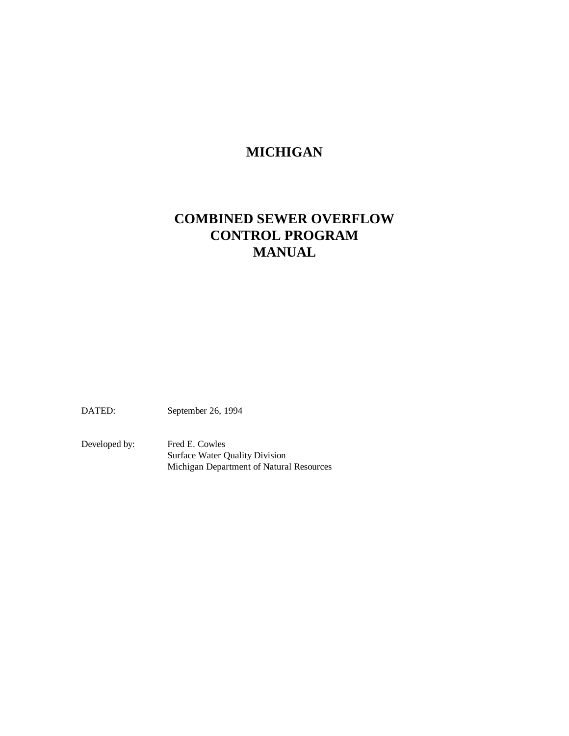# **MICHIGAN**

# **COMBINED SEWER OVERFLOW CONTROL PROGRAM MANUAL**

DATED: September 26, 1994

Developed by: Fred E. Cowles Surface Water Quality Division Michigan Department of Natural Resources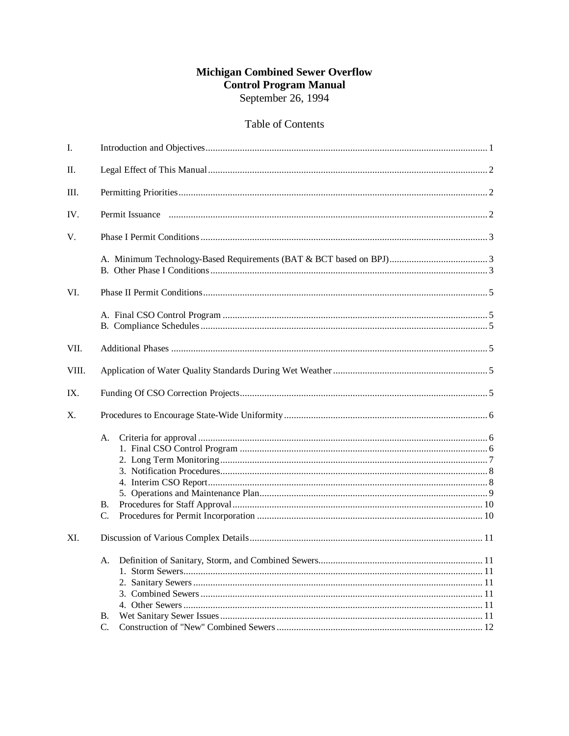## **Michigan Combined Sewer Overflow Control Program Manual** September 26, 1994

## Table of Contents

| I.    |                            |  |  |
|-------|----------------------------|--|--|
| Π.    |                            |  |  |
| Ш.    |                            |  |  |
| IV.   |                            |  |  |
| V.    |                            |  |  |
|       |                            |  |  |
| VI.   |                            |  |  |
|       |                            |  |  |
| VII.  |                            |  |  |
| VIII. |                            |  |  |
| IX.   |                            |  |  |
| X.    |                            |  |  |
|       | А.<br>В.<br>C.             |  |  |
| XI.   |                            |  |  |
|       | А.<br>В.<br>$\mathbf{C}$ . |  |  |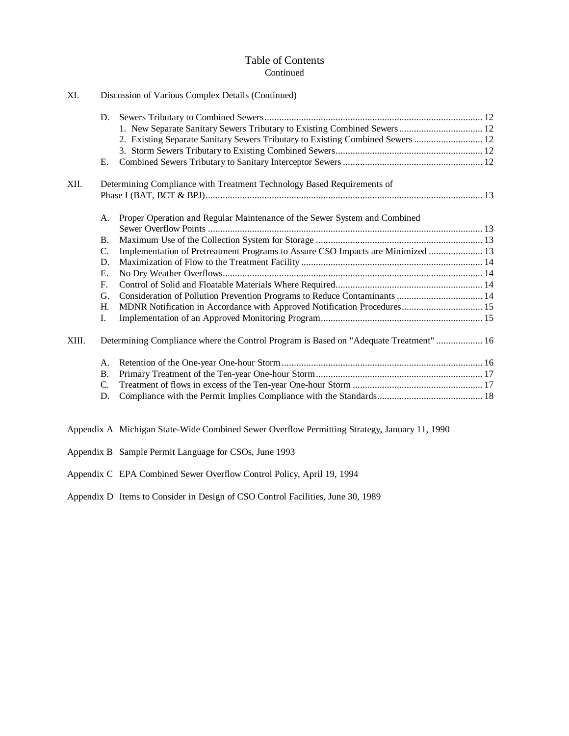## Table of Contents Continued

| XI.   |                                                                        | Discussion of Various Complex Details (Continued)                                     |  |  |  |
|-------|------------------------------------------------------------------------|---------------------------------------------------------------------------------------|--|--|--|
|       | D.                                                                     |                                                                                       |  |  |  |
|       |                                                                        | 1. New Separate Sanitary Sewers Tributary to Existing Combined Sewers 12              |  |  |  |
|       |                                                                        | 2. Existing Separate Sanitary Sewers Tributary to Existing Combined Sewers  12        |  |  |  |
|       |                                                                        |                                                                                       |  |  |  |
|       | Е.                                                                     |                                                                                       |  |  |  |
| XII.  | Determining Compliance with Treatment Technology Based Requirements of |                                                                                       |  |  |  |
|       |                                                                        |                                                                                       |  |  |  |
|       | А.                                                                     | Proper Operation and Regular Maintenance of the Sewer System and Combined             |  |  |  |
|       |                                                                        |                                                                                       |  |  |  |
|       | <b>B.</b>                                                              |                                                                                       |  |  |  |
|       | $\mathbf{C}$ .                                                         | Implementation of Pretreatment Programs to Assure CSO Impacts are Minimized  13       |  |  |  |
|       | D.                                                                     |                                                                                       |  |  |  |
|       | Е.                                                                     |                                                                                       |  |  |  |
|       | F.                                                                     |                                                                                       |  |  |  |
|       | G.                                                                     | Consideration of Pollution Prevention Programs to Reduce Contaminants  14             |  |  |  |
|       | Н.                                                                     | MDNR Notification in Accordance with Approved Notification Procedures 15              |  |  |  |
|       | I.                                                                     |                                                                                       |  |  |  |
| XIII. |                                                                        | Determining Compliance where the Control Program is Based on "Adequate Treatment"  16 |  |  |  |
|       | А.                                                                     |                                                                                       |  |  |  |
|       | <b>B.</b>                                                              |                                                                                       |  |  |  |
|       | $\mathbf{C}$ .                                                         |                                                                                       |  |  |  |
|       | D.                                                                     |                                                                                       |  |  |  |
|       |                                                                        |                                                                                       |  |  |  |

Appendix A Michigan State-Wide Combined Sewer Overflow Permitting Strategy, January 11, 1990

Appendix B Sample Permit Language for CSOs, June 1993

Appendix C EPA Combined Sewer Overflow Control Policy, April 19, 1994

Appendix D Items to Consider in Design of CSO Control Facilities, June 30, 1989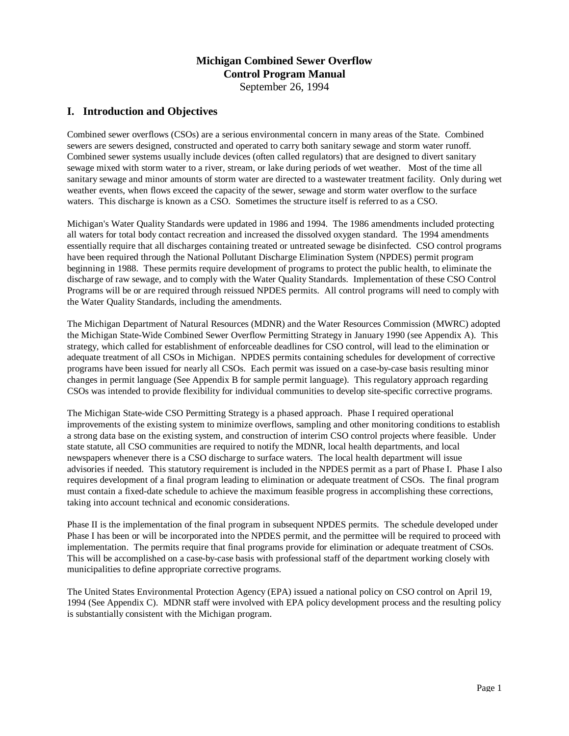## **Michigan Combined Sewer Overflow Control Program Manual** September 26, 1994

## **I. Introduction and Objectives**

Combined sewer overflows (CSOs) are a serious environmental concern in many areas of the State. Combined sewers are sewers designed, constructed and operated to carry both sanitary sewage and storm water runoff. Combined sewer systems usually include devices (often called regulators) that are designed to divert sanitary sewage mixed with storm water to a river, stream, or lake during periods of wet weather. Most of the time all sanitary sewage and minor amounts of storm water are directed to a wastewater treatment facility. Only during wet weather events, when flows exceed the capacity of the sewer, sewage and storm water overflow to the surface waters. This discharge is known as a CSO. Sometimes the structure itself is referred to as a CSO.

Michigan's Water Quality Standards were updated in 1986 and 1994. The 1986 amendments included protecting all waters for total body contact recreation and increased the dissolved oxygen standard. The 1994 amendments essentially require that all discharges containing treated or untreated sewage be disinfected. CSO control programs have been required through the National Pollutant Discharge Elimination System (NPDES) permit program beginning in 1988. These permits require development of programs to protect the public health, to eliminate the discharge of raw sewage, and to comply with the Water Quality Standards. Implementation of these CSO Control Programs will be or are required through reissued NPDES permits. All control programs will need to comply with the Water Quality Standards, including the amendments.

The Michigan Department of Natural Resources (MDNR) and the Water Resources Commission (MWRC) adopted the Michigan State-Wide Combined Sewer Overflow Permitting Strategy in January 1990 (see Appendix A). This strategy, which called for establishment of enforceable deadlines for CSO control, will lead to the elimination or adequate treatment of all CSOs in Michigan. NPDES permits containing schedules for development of corrective programs have been issued for nearly all CSOs. Each permit was issued on a case-by-case basis resulting minor changes in permit language (See Appendix B for sample permit language). This regulatory approach regarding CSOs was intended to provide flexibility for individual communities to develop site-specific corrective programs.

The Michigan State-wide CSO Permitting Strategy is a phased approach. Phase I required operational improvements of the existing system to minimize overflows, sampling and other monitoring conditions to establish a strong data base on the existing system, and construction of interim CSO control projects where feasible. Under state statute, all CSO communities are required to notify the MDNR, local health departments, and local newspapers whenever there is a CSO discharge to surface waters. The local health department will issue advisories if needed. This statutory requirement is included in the NPDES permit as a part of Phase I. Phase I also requires development of a final program leading to elimination or adequate treatment of CSOs. The final program must contain a fixed-date schedule to achieve the maximum feasible progress in accomplishing these corrections, taking into account technical and economic considerations.

Phase II is the implementation of the final program in subsequent NPDES permits. The schedule developed under Phase I has been or will be incorporated into the NPDES permit, and the permittee will be required to proceed with implementation. The permits require that final programs provide for elimination or adequate treatment of CSOs. This will be accomplished on a case-by-case basis with professional staff of the department working closely with municipalities to define appropriate corrective programs.

The United States Environmental Protection Agency (EPA) issued a national policy on CSO control on April 19, 1994 (See Appendix C). MDNR staff were involved with EPA policy development process and the resulting policy is substantially consistent with the Michigan program.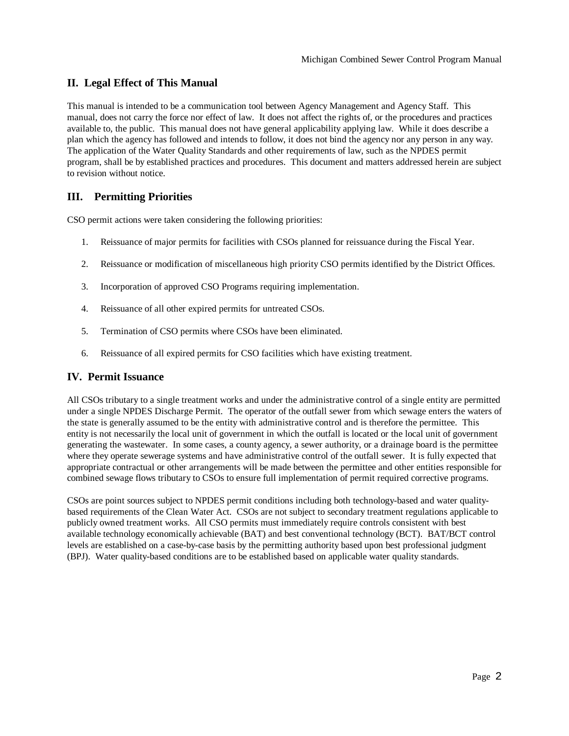## **II. Legal Effect of This Manual**

This manual is intended to be a communication tool between Agency Management and Agency Staff. This manual, does not carry the force nor effect of law. It does not affect the rights of, or the procedures and practices available to, the public. This manual does not have general applicability applying law. While it does describe a plan which the agency has followed and intends to follow, it does not bind the agency nor any person in any way. The application of the Water Quality Standards and other requirements of law, such as the NPDES permit program, shall be by established practices and procedures. This document and matters addressed herein are subject to revision without notice.

## **III. Permitting Priorities**

CSO permit actions were taken considering the following priorities:

- 1. Reissuance of major permits for facilities with CSOs planned for reissuance during the Fiscal Year.
- 2. Reissuance or modification of miscellaneous high priority CSO permits identified by the District Offices.
- 3. Incorporation of approved CSO Programs requiring implementation.
- 4. Reissuance of all other expired permits for untreated CSOs.
- 5. Termination of CSO permits where CSOs have been eliminated.
- 6. Reissuance of all expired permits for CSO facilities which have existing treatment.

#### **IV. Permit Issuance**

All CSOs tributary to a single treatment works and under the administrative control of a single entity are permitted under a single NPDES Discharge Permit. The operator of the outfall sewer from which sewage enters the waters of the state is generally assumed to be the entity with administrative control and is therefore the permittee. This entity is not necessarily the local unit of government in which the outfall is located or the local unit of government generating the wastewater. In some cases, a county agency, a sewer authority, or a drainage board is the permittee where they operate sewerage systems and have administrative control of the outfall sewer. It is fully expected that appropriate contractual or other arrangements will be made between the permittee and other entities responsible for combined sewage flows tributary to CSOs to ensure full implementation of permit required corrective programs.

CSOs are point sources subject to NPDES permit conditions including both technology-based and water qualitybased requirements of the Clean Water Act. CSOs are not subject to secondary treatment regulations applicable to publicly owned treatment works. All CSO permits must immediately require controls consistent with best available technology economically achievable (BAT) and best conventional technology (BCT). BAT/BCT control levels are established on a case-by-case basis by the permitting authority based upon best professional judgment (BPJ). Water quality-based conditions are to be established based on applicable water quality standards.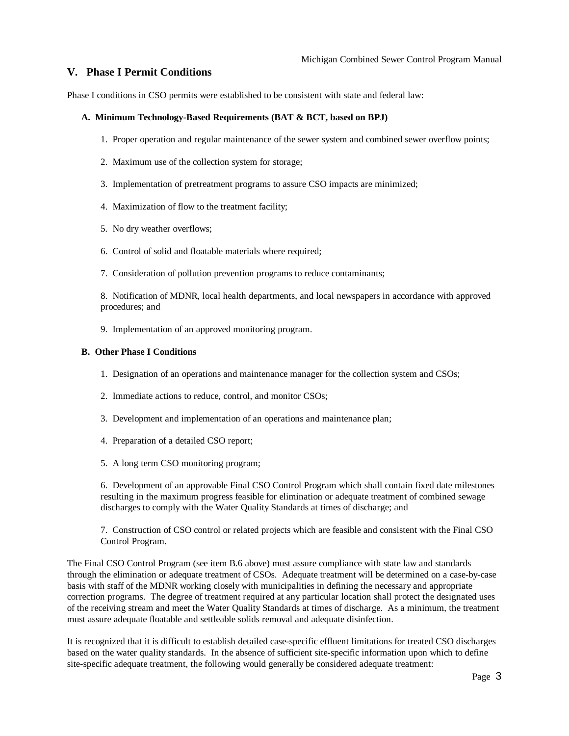## **V. Phase I Permit Conditions**

Phase I conditions in CSO permits were established to be consistent with state and federal law:

#### **A. Minimum Technology-Based Requirements (BAT & BCT, based on BPJ)**

- 1. Proper operation and regular maintenance of the sewer system and combined sewer overflow points;
- 2. Maximum use of the collection system for storage;
- 3. Implementation of pretreatment programs to assure CSO impacts are minimized;
- 4. Maximization of flow to the treatment facility;
- 5. No dry weather overflows;
- 6. Control of solid and floatable materials where required;
- 7. Consideration of pollution prevention programs to reduce contaminants;

8. Notification of MDNR, local health departments, and local newspapers in accordance with approved procedures; and

9. Implementation of an approved monitoring program.

#### **B. Other Phase I Conditions**

- 1. Designation of an operations and maintenance manager for the collection system and CSOs;
- 2. Immediate actions to reduce, control, and monitor CSOs;
- 3. Development and implementation of an operations and maintenance plan;
- 4. Preparation of a detailed CSO report;
- 5. A long term CSO monitoring program;

6. Development of an approvable Final CSO Control Program which shall contain fixed date milestones resulting in the maximum progress feasible for elimination or adequate treatment of combined sewage discharges to comply with the Water Quality Standards at times of discharge; and

7. Construction of CSO control or related projects which are feasible and consistent with the Final CSO Control Program.

The Final CSO Control Program (see item B.6 above) must assure compliance with state law and standards through the elimination or adequate treatment of CSOs. Adequate treatment will be determined on a case-by-case basis with staff of the MDNR working closely with municipalities in defining the necessary and appropriate correction programs. The degree of treatment required at any particular location shall protect the designated uses of the receiving stream and meet the Water Quality Standards at times of discharge. As a minimum, the treatment must assure adequate floatable and settleable solids removal and adequate disinfection.

It is recognized that it is difficult to establish detailed case-specific effluent limitations for treated CSO discharges based on the water quality standards. In the absence of sufficient site-specific information upon which to define site-specific adequate treatment, the following would generally be considered adequate treatment: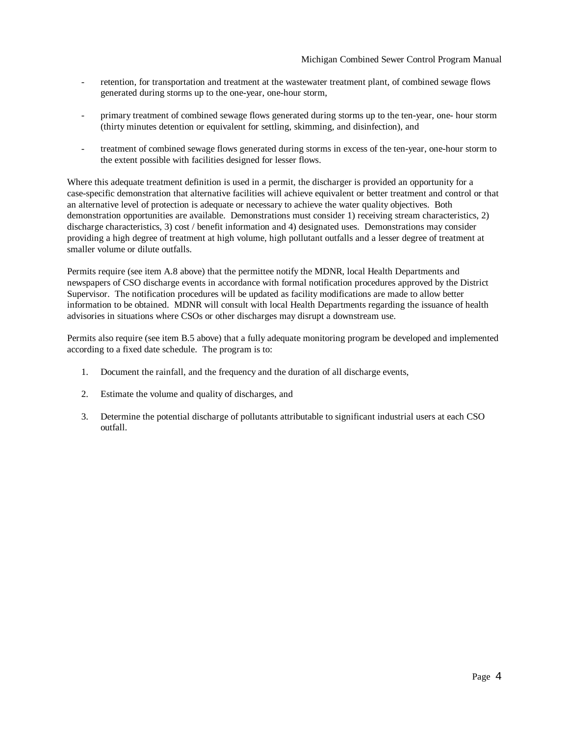- retention, for transportation and treatment at the wastewater treatment plant, of combined sewage flows generated during storms up to the one-year, one-hour storm,
- primary treatment of combined sewage flows generated during storms up to the ten-year, one- hour storm (thirty minutes detention or equivalent for settling, skimming, and disinfection), and
- treatment of combined sewage flows generated during storms in excess of the ten-year, one-hour storm to the extent possible with facilities designed for lesser flows.

Where this adequate treatment definition is used in a permit, the discharger is provided an opportunity for a case-specific demonstration that alternative facilities will achieve equivalent or better treatment and control or that an alternative level of protection is adequate or necessary to achieve the water quality objectives. Both demonstration opportunities are available. Demonstrations must consider 1) receiving stream characteristics, 2) discharge characteristics, 3) cost / benefit information and 4) designated uses. Demonstrations may consider providing a high degree of treatment at high volume, high pollutant outfalls and a lesser degree of treatment at smaller volume or dilute outfalls.

Permits require (see item A.8 above) that the permittee notify the MDNR, local Health Departments and newspapers of CSO discharge events in accordance with formal notification procedures approved by the District Supervisor. The notification procedures will be updated as facility modifications are made to allow better information to be obtained. MDNR will consult with local Health Departments regarding the issuance of health advisories in situations where CSOs or other discharges may disrupt a downstream use.

Permits also require (see item B.5 above) that a fully adequate monitoring program be developed and implemented according to a fixed date schedule. The program is to:

- 1. Document the rainfall, and the frequency and the duration of all discharge events,
- 2. Estimate the volume and quality of discharges, and
- 3. Determine the potential discharge of pollutants attributable to significant industrial users at each CSO outfall.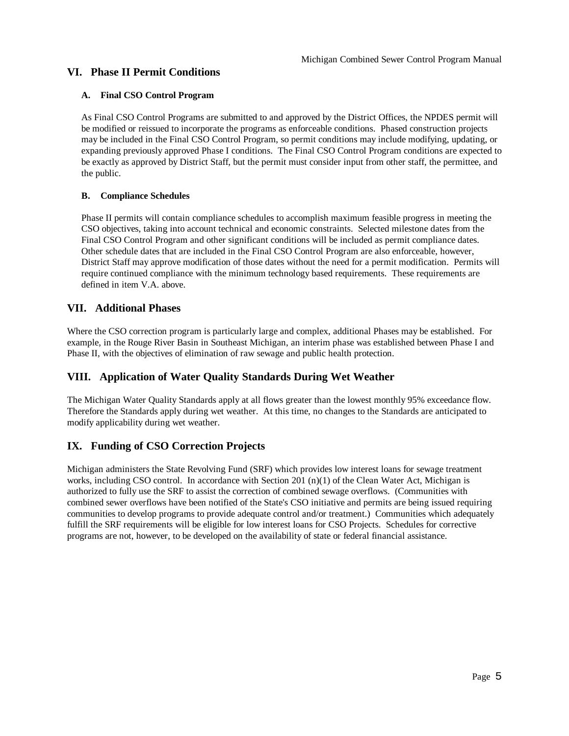## **VI. Phase II Permit Conditions**

## **A. Final CSO Control Program**

As Final CSO Control Programs are submitted to and approved by the District Offices, the NPDES permit will be modified or reissued to incorporate the programs as enforceable conditions. Phased construction projects may be included in the Final CSO Control Program, so permit conditions may include modifying, updating, or expanding previously approved Phase I conditions. The Final CSO Control Program conditions are expected to be exactly as approved by District Staff, but the permit must consider input from other staff, the permittee, and the public.

## **B. Compliance Schedules**

Phase II permits will contain compliance schedules to accomplish maximum feasible progress in meeting the CSO objectives, taking into account technical and economic constraints. Selected milestone dates from the Final CSO Control Program and other significant conditions will be included as permit compliance dates. Other schedule dates that are included in the Final CSO Control Program are also enforceable, however, District Staff may approve modification of those dates without the need for a permit modification. Permits will require continued compliance with the minimum technology based requirements. These requirements are defined in item V.A. above.

## **VII. Additional Phases**

Where the CSO correction program is particularly large and complex, additional Phases may be established. For example, in the Rouge River Basin in Southeast Michigan, an interim phase was established between Phase I and Phase II, with the objectives of elimination of raw sewage and public health protection.

## **VIII. Application of Water Quality Standards During Wet Weather**

The Michigan Water Quality Standards apply at all flows greater than the lowest monthly 95% exceedance flow. Therefore the Standards apply during wet weather. At this time, no changes to the Standards are anticipated to modify applicability during wet weather.

## **IX. Funding of CSO Correction Projects**

Michigan administers the State Revolving Fund (SRF) which provides low interest loans for sewage treatment works, including CSO control. In accordance with Section 201 (n)(1) of the Clean Water Act, Michigan is authorized to fully use the SRF to assist the correction of combined sewage overflows. (Communities with combined sewer overflows have been notified of the State's CSO initiative and permits are being issued requiring communities to develop programs to provide adequate control and/or treatment.) Communities which adequately fulfill the SRF requirements will be eligible for low interest loans for CSO Projects. Schedules for corrective programs are not, however, to be developed on the availability of state or federal financial assistance.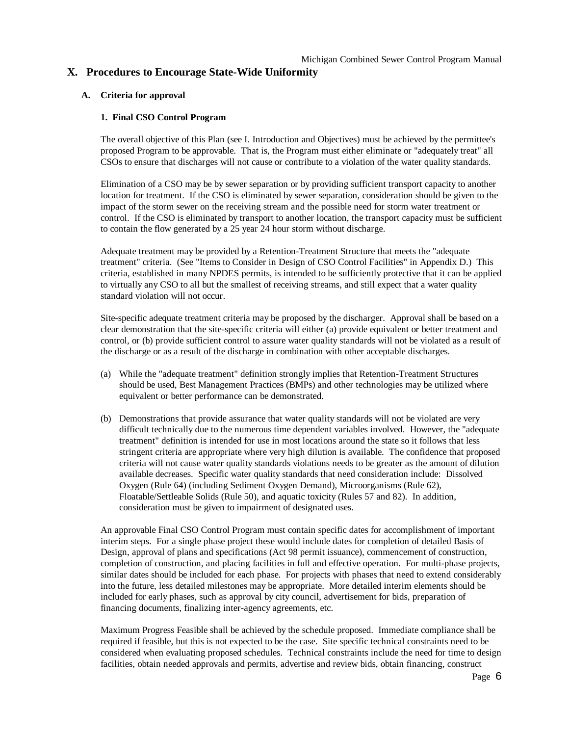## **X. Procedures to Encourage State-Wide Uniformity**

#### **A. Criteria for approval**

#### **1. Final CSO Control Program**

The overall objective of this Plan (see I. Introduction and Objectives) must be achieved by the permittee's proposed Program to be approvable. That is, the Program must either eliminate or "adequately treat" all CSOs to ensure that discharges will not cause or contribute to a violation of the water quality standards.

Elimination of a CSO may be by sewer separation or by providing sufficient transport capacity to another location for treatment. If the CSO is eliminated by sewer separation, consideration should be given to the impact of the storm sewer on the receiving stream and the possible need for storm water treatment or control. If the CSO is eliminated by transport to another location, the transport capacity must be sufficient to contain the flow generated by a 25 year 24 hour storm without discharge.

Adequate treatment may be provided by a Retention-Treatment Structure that meets the "adequate treatment" criteria. (See "Items to Consider in Design of CSO Control Facilities" in Appendix D.) This criteria, established in many NPDES permits, is intended to be sufficiently protective that it can be applied to virtually any CSO to all but the smallest of receiving streams, and still expect that a water quality standard violation will not occur.

Site-specific adequate treatment criteria may be proposed by the discharger. Approval shall be based on a clear demonstration that the site-specific criteria will either (a) provide equivalent or better treatment and control, or (b) provide sufficient control to assure water quality standards will not be violated as a result of the discharge or as a result of the discharge in combination with other acceptable discharges.

- (a) While the "adequate treatment" definition strongly implies that Retention-Treatment Structures should be used, Best Management Practices (BMPs) and other technologies may be utilized where equivalent or better performance can be demonstrated.
- (b) Demonstrations that provide assurance that water quality standards will not be violated are very difficult technically due to the numerous time dependent variables involved. However, the "adequate treatment" definition is intended for use in most locations around the state so it follows that less stringent criteria are appropriate where very high dilution is available. The confidence that proposed criteria will not cause water quality standards violations needs to be greater as the amount of dilution available decreases. Specific water quality standards that need consideration include: Dissolved Oxygen (Rule 64) (including Sediment Oxygen Demand), Microorganisms (Rule 62), Floatable/Settleable Solids (Rule 50), and aquatic toxicity (Rules 57 and 82). In addition, consideration must be given to impairment of designated uses.

An approvable Final CSO Control Program must contain specific dates for accomplishment of important interim steps. For a single phase project these would include dates for completion of detailed Basis of Design, approval of plans and specifications (Act 98 permit issuance), commencement of construction, completion of construction, and placing facilities in full and effective operation. For multi-phase projects, similar dates should be included for each phase. For projects with phases that need to extend considerably into the future, less detailed milestones may be appropriate. More detailed interim elements should be included for early phases, such as approval by city council, advertisement for bids, preparation of financing documents, finalizing inter-agency agreements, etc.

Maximum Progress Feasible shall be achieved by the schedule proposed. Immediate compliance shall be required if feasible, but this is not expected to be the case. Site specific technical constraints need to be considered when evaluating proposed schedules. Technical constraints include the need for time to design facilities, obtain needed approvals and permits, advertise and review bids, obtain financing, construct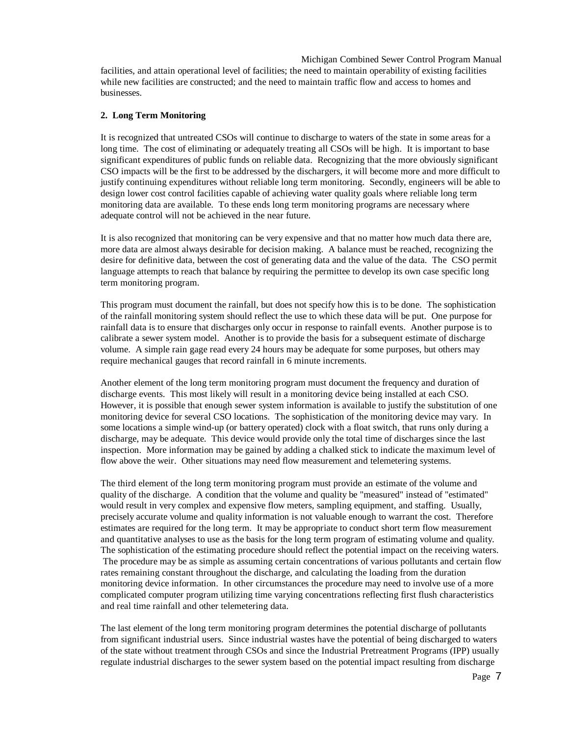Michigan Combined Sewer Control Program Manual facilities, and attain operational level of facilities; the need to maintain operability of existing facilities while new facilities are constructed; and the need to maintain traffic flow and access to homes and businesses.

#### **2. Long Term Monitoring**

It is recognized that untreated CSOs will continue to discharge to waters of the state in some areas for a long time. The cost of eliminating or adequately treating all CSOs will be high. It is important to base significant expenditures of public funds on reliable data. Recognizing that the more obviously significant CSO impacts will be the first to be addressed by the dischargers, it will become more and more difficult to justify continuing expenditures without reliable long term monitoring. Secondly, engineers will be able to design lower cost control facilities capable of achieving water quality goals where reliable long term monitoring data are available. To these ends long term monitoring programs are necessary where adequate control will not be achieved in the near future.

It is also recognized that monitoring can be very expensive and that no matter how much data there are, more data are almost always desirable for decision making. A balance must be reached, recognizing the desire for definitive data, between the cost of generating data and the value of the data. The CSO permit language attempts to reach that balance by requiring the permittee to develop its own case specific long term monitoring program.

This program must document the rainfall, but does not specify how this is to be done. The sophistication of the rainfall monitoring system should reflect the use to which these data will be put. One purpose for rainfall data is to ensure that discharges only occur in response to rainfall events. Another purpose is to calibrate a sewer system model. Another is to provide the basis for a subsequent estimate of discharge volume. A simple rain gage read every 24 hours may be adequate for some purposes, but others may require mechanical gauges that record rainfall in 6 minute increments.

Another element of the long term monitoring program must document the frequency and duration of discharge events. This most likely will result in a monitoring device being installed at each CSO. However, it is possible that enough sewer system information is available to justify the substitution of one monitoring device for several CSO locations. The sophistication of the monitoring device may vary. In some locations a simple wind-up (or battery operated) clock with a float switch, that runs only during a discharge, may be adequate. This device would provide only the total time of discharges since the last inspection. More information may be gained by adding a chalked stick to indicate the maximum level of flow above the weir. Other situations may need flow measurement and telemetering systems.

The third element of the long term monitoring program must provide an estimate of the volume and quality of the discharge. A condition that the volume and quality be "measured" instead of "estimated" would result in very complex and expensive flow meters, sampling equipment, and staffing. Usually, precisely accurate volume and quality information is not valuable enough to warrant the cost. Therefore estimates are required for the long term. It may be appropriate to conduct short term flow measurement and quantitative analyses to use as the basis for the long term program of estimating volume and quality. The sophistication of the estimating procedure should reflect the potential impact on the receiving waters. The procedure may be as simple as assuming certain concentrations of various pollutants and certain flow rates remaining constant throughout the discharge, and calculating the loading from the duration monitoring device information. In other circumstances the procedure may need to involve use of a more complicated computer program utilizing time varying concentrations reflecting first flush characteristics and real time rainfall and other telemetering data.

The last element of the long term monitoring program determines the potential discharge of pollutants from significant industrial users. Since industrial wastes have the potential of being discharged to waters of the state without treatment through CSOs and since the Industrial Pretreatment Programs (IPP) usually regulate industrial discharges to the sewer system based on the potential impact resulting from discharge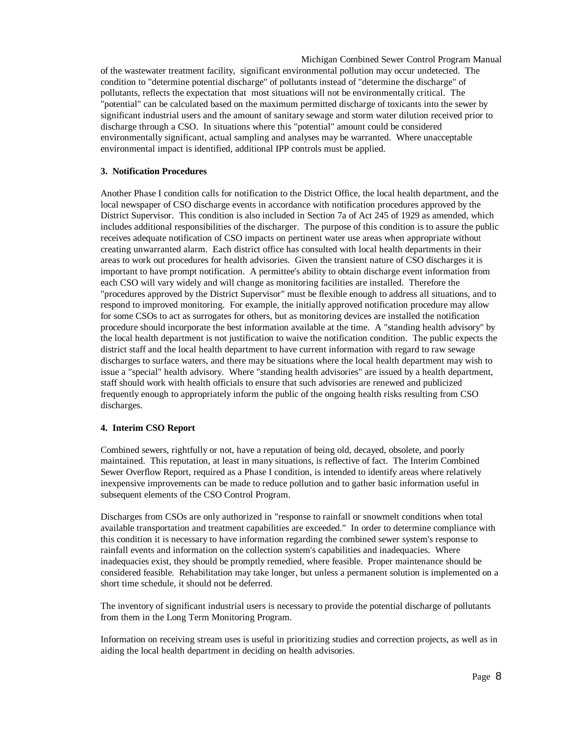Michigan Combined Sewer Control Program Manual of the wastewater treatment facility, significant environmental pollution may occur undetected. The condition to "determine potential discharge" of pollutants instead of "determine the discharge" of pollutants, reflects the expectation that most situations will not be environmentally critical. The "potential" can be calculated based on the maximum permitted discharge of toxicants into the sewer by significant industrial users and the amount of sanitary sewage and storm water dilution received prior to discharge through a CSO. In situations where this "potential" amount could be considered environmentally significant, actual sampling and analyses may be warranted. Where unacceptable environmental impact is identified, additional IPP controls must be applied.

#### **3. Notification Procedures**

Another Phase I condition calls for notification to the District Office, the local health department, and the local newspaper of CSO discharge events in accordance with notification procedures approved by the District Supervisor. This condition is also included in Section 7a of Act 245 of 1929 as amended, which includes additional responsibilities of the discharger. The purpose of this condition is to assure the public receives adequate notification of CSO impacts on pertinent water use areas when appropriate without creating unwarranted alarm. Each district office has consulted with local health departments in their areas to work out procedures for health advisories. Given the transient nature of CSO discharges it is important to have prompt notification. A permittee's ability to obtain discharge event information from each CSO will vary widely and will change as monitoring facilities are installed. Therefore the "procedures approved by the District Supervisor" must be flexible enough to address all situations, and to respond to improved monitoring. For example, the initially approved notification procedure may allow for some CSOs to act as surrogates for others, but as monitoring devices are installed the notification procedure should incorporate the best information available at the time. A "standing health advisory" by the local health department is not justification to waive the notification condition. The public expects the district staff and the local health department to have current information with regard to raw sewage discharges to surface waters, and there may be situations where the local health department may wish to issue a "special" health advisory. Where "standing health advisories" are issued by a health department, staff should work with health officials to ensure that such advisories are renewed and publicized frequently enough to appropriately inform the public of the ongoing health risks resulting from CSO discharges.

#### **4. Interim CSO Report**

Combined sewers, rightfully or not, have a reputation of being old, decayed, obsolete, and poorly maintained. This reputation, at least in many situations, is reflective of fact. The Interim Combined Sewer Overflow Report, required as a Phase I condition, is intended to identify areas where relatively inexpensive improvements can be made to reduce pollution and to gather basic information useful in subsequent elements of the CSO Control Program.

Discharges from CSOs are only authorized in "response to rainfall or snowmelt conditions when total available transportation and treatment capabilities are exceeded." In order to determine compliance with this condition it is necessary to have information regarding the combined sewer system's response to rainfall events and information on the collection system's capabilities and inadequacies. Where inadequacies exist, they should be promptly remedied, where feasible. Proper maintenance should be considered feasible. Rehabilitation may take longer, but unless a permanent solution is implemented on a short time schedule, it should not be deferred.

The inventory of significant industrial users is necessary to provide the potential discharge of pollutants from them in the Long Term Monitoring Program.

Information on receiving stream uses is useful in prioritizing studies and correction projects, as well as in aiding the local health department in deciding on health advisories.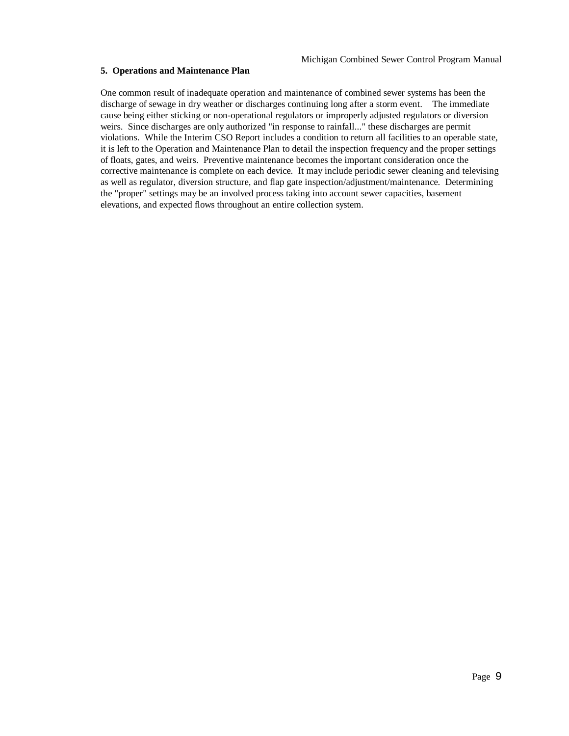#### **5. Operations and Maintenance Plan**

One common result of inadequate operation and maintenance of combined sewer systems has been the discharge of sewage in dry weather or discharges continuing long after a storm event. The immediate cause being either sticking or non-operational regulators or improperly adjusted regulators or diversion weirs. Since discharges are only authorized "in response to rainfall..." these discharges are permit violations. While the Interim CSO Report includes a condition to return all facilities to an operable state, it is left to the Operation and Maintenance Plan to detail the inspection frequency and the proper settings of floats, gates, and weirs. Preventive maintenance becomes the important consideration once the corrective maintenance is complete on each device. It may include periodic sewer cleaning and televising as well as regulator, diversion structure, and flap gate inspection/adjustment/maintenance. Determining the "proper" settings may be an involved process taking into account sewer capacities, basement elevations, and expected flows throughout an entire collection system.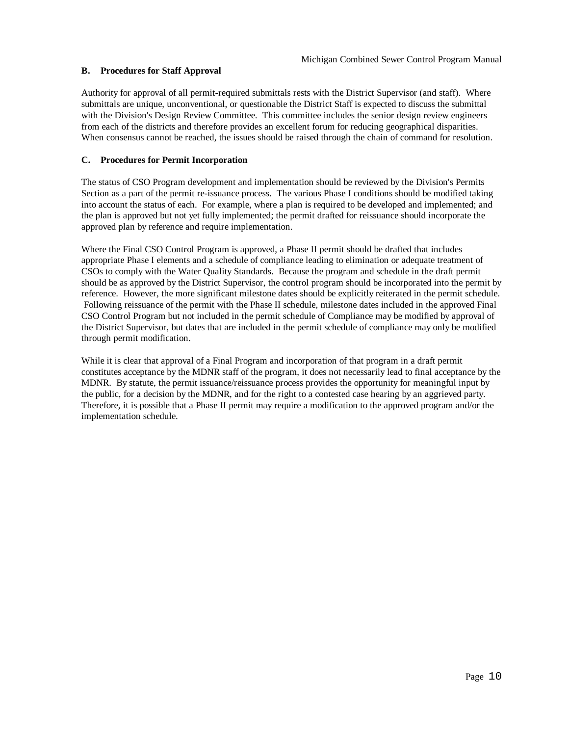## **B. Procedures for Staff Approval**

Authority for approval of all permit-required submittals rests with the District Supervisor (and staff). Where submittals are unique, unconventional, or questionable the District Staff is expected to discuss the submittal with the Division's Design Review Committee. This committee includes the senior design review engineers from each of the districts and therefore provides an excellent forum for reducing geographical disparities. When consensus cannot be reached, the issues should be raised through the chain of command for resolution.

#### **C. Procedures for Permit Incorporation**

The status of CSO Program development and implementation should be reviewed by the Division's Permits Section as a part of the permit re-issuance process. The various Phase I conditions should be modified taking into account the status of each. For example, where a plan is required to be developed and implemented; and the plan is approved but not yet fully implemented; the permit drafted for reissuance should incorporate the approved plan by reference and require implementation.

Where the Final CSO Control Program is approved, a Phase II permit should be drafted that includes appropriate Phase I elements and a schedule of compliance leading to elimination or adequate treatment of CSOs to comply with the Water Quality Standards. Because the program and schedule in the draft permit should be as approved by the District Supervisor, the control program should be incorporated into the permit by reference. However, the more significant milestone dates should be explicitly reiterated in the permit schedule. Following reissuance of the permit with the Phase II schedule, milestone dates included in the approved Final CSO Control Program but not included in the permit schedule of Compliance may be modified by approval of the District Supervisor, but dates that are included in the permit schedule of compliance may only be modified through permit modification.

While it is clear that approval of a Final Program and incorporation of that program in a draft permit constitutes acceptance by the MDNR staff of the program, it does not necessarily lead to final acceptance by the MDNR. By statute, the permit issuance/reissuance process provides the opportunity for meaningful input by the public, for a decision by the MDNR, and for the right to a contested case hearing by an aggrieved party. Therefore, it is possible that a Phase II permit may require a modification to the approved program and/or the implementation schedule.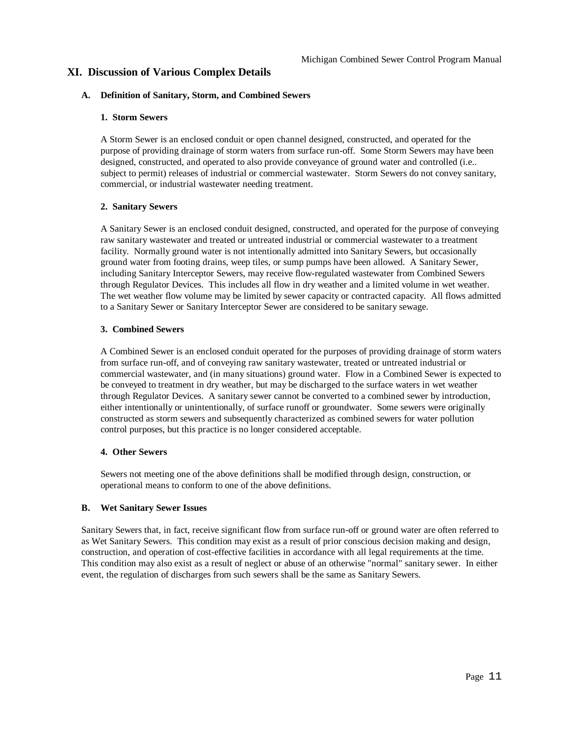## **XI. Discussion of Various Complex Details**

#### **A. Definition of Sanitary, Storm, and Combined Sewers**

#### **1. Storm Sewers**

A Storm Sewer is an enclosed conduit or open channel designed, constructed, and operated for the purpose of providing drainage of storm waters from surface run-off. Some Storm Sewers may have been designed, constructed, and operated to also provide conveyance of ground water and controlled (i.e.. subject to permit) releases of industrial or commercial wastewater. Storm Sewers do not convey sanitary, commercial, or industrial wastewater needing treatment.

#### **2. Sanitary Sewers**

A Sanitary Sewer is an enclosed conduit designed, constructed, and operated for the purpose of conveying raw sanitary wastewater and treated or untreated industrial or commercial wastewater to a treatment facility. Normally ground water is not intentionally admitted into Sanitary Sewers, but occasionally ground water from footing drains, weep tiles, or sump pumps have been allowed. A Sanitary Sewer, including Sanitary Interceptor Sewers, may receive flow-regulated wastewater from Combined Sewers through Regulator Devices. This includes all flow in dry weather and a limited volume in wet weather. The wet weather flow volume may be limited by sewer capacity or contracted capacity. All flows admitted to a Sanitary Sewer or Sanitary Interceptor Sewer are considered to be sanitary sewage.

#### **3. Combined Sewers**

A Combined Sewer is an enclosed conduit operated for the purposes of providing drainage of storm waters from surface run-off, and of conveying raw sanitary wastewater, treated or untreated industrial or commercial wastewater, and (in many situations) ground water. Flow in a Combined Sewer is expected to be conveyed to treatment in dry weather, but may be discharged to the surface waters in wet weather through Regulator Devices. A sanitary sewer cannot be converted to a combined sewer by introduction, either intentionally or unintentionally, of surface runoff or groundwater. Some sewers were originally constructed as storm sewers and subsequently characterized as combined sewers for water pollution control purposes, but this practice is no longer considered acceptable.

#### **4. Other Sewers**

Sewers not meeting one of the above definitions shall be modified through design, construction, or operational means to conform to one of the above definitions.

#### **B. Wet Sanitary Sewer Issues**

Sanitary Sewers that, in fact, receive significant flow from surface run-off or ground water are often referred to as Wet Sanitary Sewers. This condition may exist as a result of prior conscious decision making and design, construction, and operation of cost-effective facilities in accordance with all legal requirements at the time. This condition may also exist as a result of neglect or abuse of an otherwise "normal" sanitary sewer. In either event, the regulation of discharges from such sewers shall be the same as Sanitary Sewers.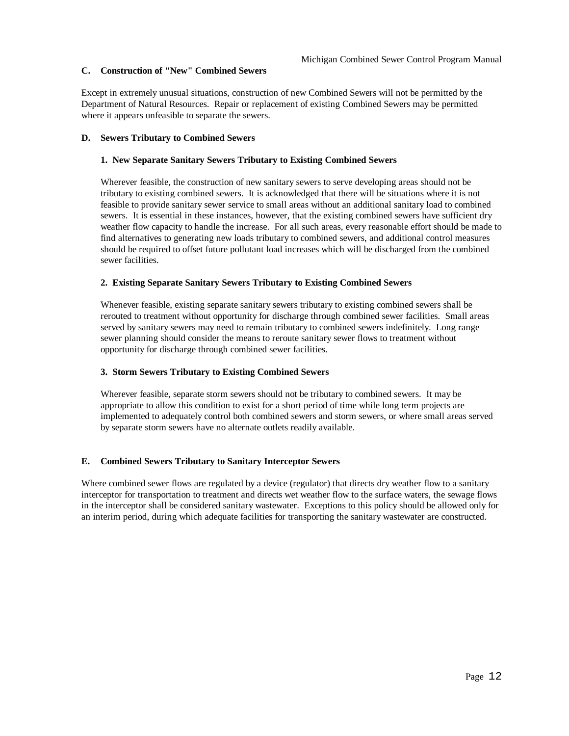## **C. Construction of "New" Combined Sewers**

Except in extremely unusual situations, construction of new Combined Sewers will not be permitted by the Department of Natural Resources. Repair or replacement of existing Combined Sewers may be permitted where it appears unfeasible to separate the sewers.

#### **D. Sewers Tributary to Combined Sewers**

#### **1. New Separate Sanitary Sewers Tributary to Existing Combined Sewers**

Wherever feasible, the construction of new sanitary sewers to serve developing areas should not be tributary to existing combined sewers. It is acknowledged that there will be situations where it is not feasible to provide sanitary sewer service to small areas without an additional sanitary load to combined sewers. It is essential in these instances, however, that the existing combined sewers have sufficient dry weather flow capacity to handle the increase. For all such areas, every reasonable effort should be made to find alternatives to generating new loads tributary to combined sewers, and additional control measures should be required to offset future pollutant load increases which will be discharged from the combined sewer facilities.

## **2. Existing Separate Sanitary Sewers Tributary to Existing Combined Sewers**

Whenever feasible, existing separate sanitary sewers tributary to existing combined sewers shall be rerouted to treatment without opportunity for discharge through combined sewer facilities. Small areas served by sanitary sewers may need to remain tributary to combined sewers indefinitely. Long range sewer planning should consider the means to reroute sanitary sewer flows to treatment without opportunity for discharge through combined sewer facilities.

#### **3. Storm Sewers Tributary to Existing Combined Sewers**

Wherever feasible, separate storm sewers should not be tributary to combined sewers. It may be appropriate to allow this condition to exist for a short period of time while long term projects are implemented to adequately control both combined sewers and storm sewers, or where small areas served by separate storm sewers have no alternate outlets readily available.

#### **E. Combined Sewers Tributary to Sanitary Interceptor Sewers**

Where combined sewer flows are regulated by a device (regulator) that directs dry weather flow to a sanitary interceptor for transportation to treatment and directs wet weather flow to the surface waters, the sewage flows in the interceptor shall be considered sanitary wastewater. Exceptions to this policy should be allowed only for an interim period, during which adequate facilities for transporting the sanitary wastewater are constructed.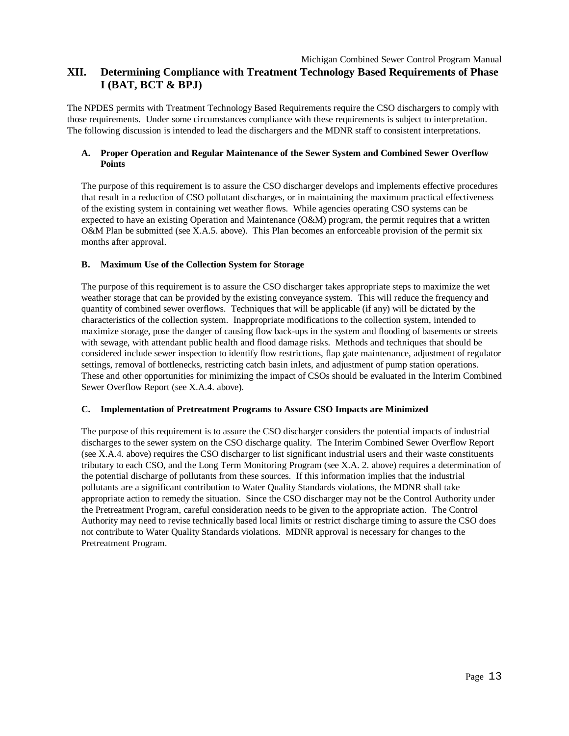## Michigan Combined Sewer Control Program Manual **XII. Determining Compliance with Treatment Technology Based Requirements of Phase I (BAT, BCT & BPJ)**

The NPDES permits with Treatment Technology Based Requirements require the CSO dischargers to comply with those requirements. Under some circumstances compliance with these requirements is subject to interpretation. The following discussion is intended to lead the dischargers and the MDNR staff to consistent interpretations.

## **A. Proper Operation and Regular Maintenance of the Sewer System and Combined Sewer Overflow Points**

The purpose of this requirement is to assure the CSO discharger develops and implements effective procedures that result in a reduction of CSO pollutant discharges, or in maintaining the maximum practical effectiveness of the existing system in containing wet weather flows. While agencies operating CSO systems can be expected to have an existing Operation and Maintenance (O&M) program, the permit requires that a written O&M Plan be submitted (see X.A.5. above). This Plan becomes an enforceable provision of the permit six months after approval.

#### **B. Maximum Use of the Collection System for Storage**

The purpose of this requirement is to assure the CSO discharger takes appropriate steps to maximize the wet weather storage that can be provided by the existing conveyance system. This will reduce the frequency and quantity of combined sewer overflows. Techniques that will be applicable (if any) will be dictated by the characteristics of the collection system. Inappropriate modifications to the collection system, intended to maximize storage, pose the danger of causing flow back-ups in the system and flooding of basements or streets with sewage, with attendant public health and flood damage risks. Methods and techniques that should be considered include sewer inspection to identify flow restrictions, flap gate maintenance, adjustment of regulator settings, removal of bottlenecks, restricting catch basin inlets, and adjustment of pump station operations. These and other opportunities for minimizing the impact of CSOs should be evaluated in the Interim Combined Sewer Overflow Report (see X.A.4. above).

#### **C. Implementation of Pretreatment Programs to Assure CSO Impacts are Minimized**

The purpose of this requirement is to assure the CSO discharger considers the potential impacts of industrial discharges to the sewer system on the CSO discharge quality. The Interim Combined Sewer Overflow Report (see X.A.4. above) requires the CSO discharger to list significant industrial users and their waste constituents tributary to each CSO, and the Long Term Monitoring Program (see X.A. 2. above) requires a determination of the potential discharge of pollutants from these sources. If this information implies that the industrial pollutants are a significant contribution to Water Quality Standards violations, the MDNR shall take appropriate action to remedy the situation. Since the CSO discharger may not be the Control Authority under the Pretreatment Program, careful consideration needs to be given to the appropriate action. The Control Authority may need to revise technically based local limits or restrict discharge timing to assure the CSO does not contribute to Water Quality Standards violations. MDNR approval is necessary for changes to the Pretreatment Program.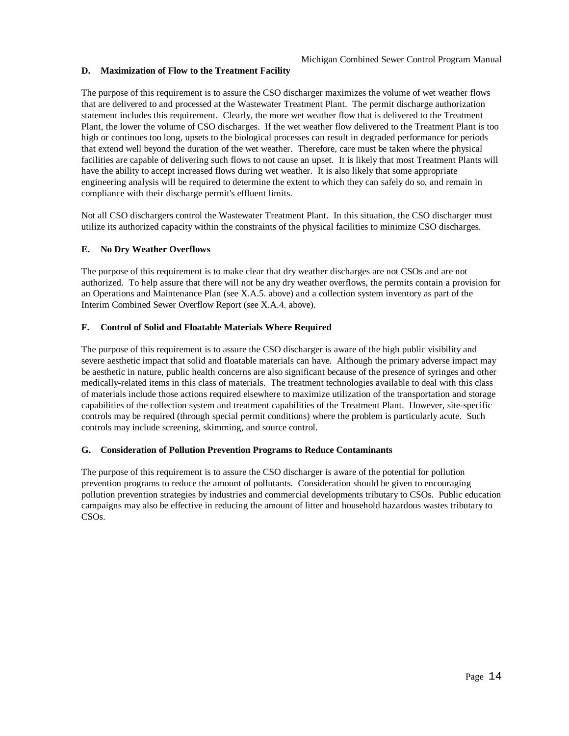## **D. Maximization of Flow to the Treatment Facility**

The purpose of this requirement is to assure the CSO discharger maximizes the volume of wet weather flows that are delivered to and processed at the Wastewater Treatment Plant. The permit discharge authorization statement includes this requirement. Clearly, the more wet weather flow that is delivered to the Treatment Plant, the lower the volume of CSO discharges. If the wet weather flow delivered to the Treatment Plant is too high or continues too long, upsets to the biological processes can result in degraded performance for periods that extend well beyond the duration of the wet weather. Therefore, care must be taken where the physical facilities are capable of delivering such flows to not cause an upset. It is likely that most Treatment Plants will have the ability to accept increased flows during wet weather. It is also likely that some appropriate engineering analysis will be required to determine the extent to which they can safely do so, and remain in compliance with their discharge permit's effluent limits.

Not all CSO dischargers control the Wastewater Treatment Plant. In this situation, the CSO discharger must utilize its authorized capacity within the constraints of the physical facilities to minimize CSO discharges.

#### **E. No Dry Weather Overflows**

The purpose of this requirement is to make clear that dry weather discharges are not CSOs and are not authorized. To help assure that there will not be any dry weather overflows, the permits contain a provision for an Operations and Maintenance Plan (see X.A.5. above) and a collection system inventory as part of the Interim Combined Sewer Overflow Report (see X.A.4. above).

## **F. Control of Solid and Floatable Materials Where Required**

The purpose of this requirement is to assure the CSO discharger is aware of the high public visibility and severe aesthetic impact that solid and floatable materials can have. Although the primary adverse impact may be aesthetic in nature, public health concerns are also significant because of the presence of syringes and other medically-related items in this class of materials. The treatment technologies available to deal with this class of materials include those actions required elsewhere to maximize utilization of the transportation and storage capabilities of the collection system and treatment capabilities of the Treatment Plant. However, site-specific controls may be required (through special permit conditions) where the problem is particularly acute. Such controls may include screening, skimming, and source control.

#### **G. Consideration of Pollution Prevention Programs to Reduce Contaminants**

The purpose of this requirement is to assure the CSO discharger is aware of the potential for pollution prevention programs to reduce the amount of pollutants. Consideration should be given to encouraging pollution prevention strategies by industries and commercial developments tributary to CSOs. Public education campaigns may also be effective in reducing the amount of litter and household hazardous wastes tributary to CSOs.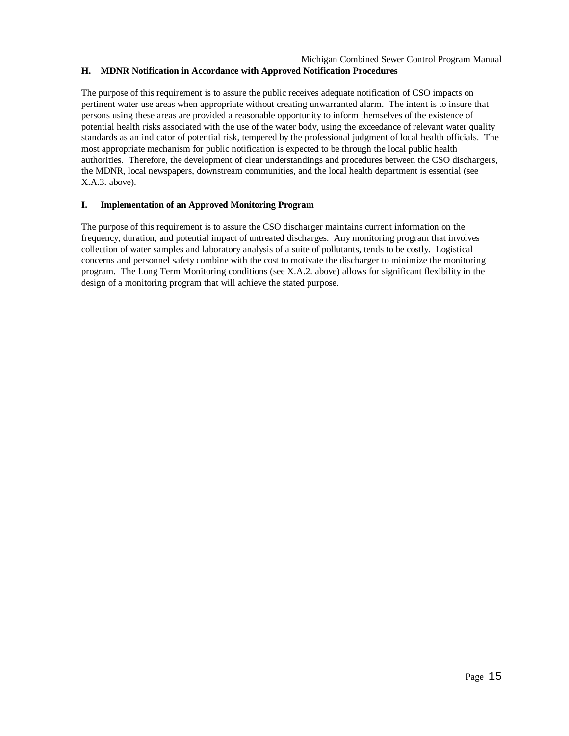#### Michigan Combined Sewer Control Program Manual **H. MDNR Notification in Accordance with Approved Notification Procedures**

The purpose of this requirement is to assure the public receives adequate notification of CSO impacts on pertinent water use areas when appropriate without creating unwarranted alarm. The intent is to insure that persons using these areas are provided a reasonable opportunity to inform themselves of the existence of potential health risks associated with the use of the water body, using the exceedance of relevant water quality standards as an indicator of potential risk, tempered by the professional judgment of local health officials. The most appropriate mechanism for public notification is expected to be through the local public health authorities. Therefore, the development of clear understandings and procedures between the CSO dischargers, the MDNR, local newspapers, downstream communities, and the local health department is essential (see X.A.3. above).

## **I. Implementation of an Approved Monitoring Program**

The purpose of this requirement is to assure the CSO discharger maintains current information on the frequency, duration, and potential impact of untreated discharges. Any monitoring program that involves collection of water samples and laboratory analysis of a suite of pollutants, tends to be costly. Logistical concerns and personnel safety combine with the cost to motivate the discharger to minimize the monitoring program. The Long Term Monitoring conditions (see X.A.2. above) allows for significant flexibility in the design of a monitoring program that will achieve the stated purpose.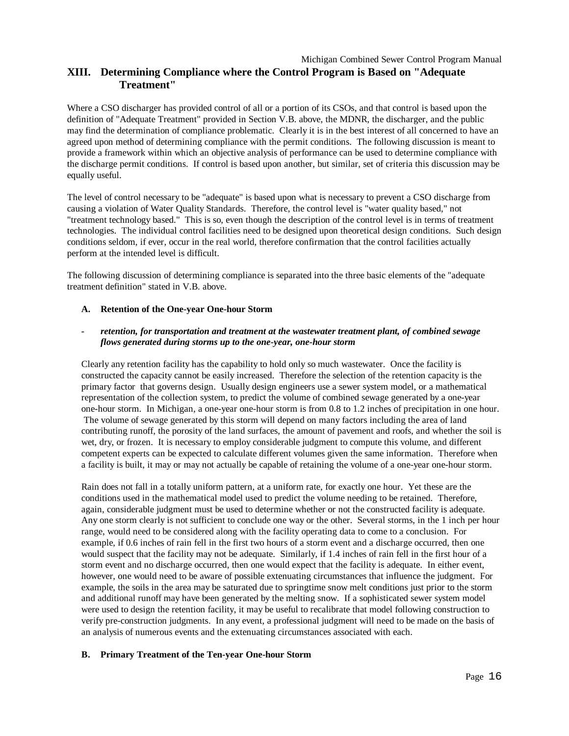## Michigan Combined Sewer Control Program Manual **XIII. Determining Compliance where the Control Program is Based on "Adequate Treatment"**

Where a CSO discharger has provided control of all or a portion of its CSOs, and that control is based upon the definition of "Adequate Treatment" provided in Section V.B. above, the MDNR, the discharger, and the public may find the determination of compliance problematic. Clearly it is in the best interest of all concerned to have an agreed upon method of determining compliance with the permit conditions. The following discussion is meant to provide a framework within which an objective analysis of performance can be used to determine compliance with the discharge permit conditions. If control is based upon another, but similar, set of criteria this discussion may be equally useful.

The level of control necessary to be "adequate" is based upon what is necessary to prevent a CSO discharge from causing a violation of Water Quality Standards. Therefore, the control level is "water quality based," not "treatment technology based." This is so, even though the description of the control level is in terms of treatment technologies. The individual control facilities need to be designed upon theoretical design conditions. Such design conditions seldom, if ever, occur in the real world, therefore confirmation that the control facilities actually perform at the intended level is difficult.

The following discussion of determining compliance is separated into the three basic elements of the "adequate treatment definition" stated in V.B. above.

#### **A. Retention of the One-year One-hour Storm**

#### *- retention, for transportation and treatment at the wastewater treatment plant, of combined sewage flows generated during storms up to the one-year, one-hour storm*

Clearly any retention facility has the capability to hold only so much wastewater. Once the facility is constructed the capacity cannot be easily increased. Therefore the selection of the retention capacity is the primary factor that governs design. Usually design engineers use a sewer system model, or a mathematical representation of the collection system, to predict the volume of combined sewage generated by a one-year one-hour storm. In Michigan, a one-year one-hour storm is from 0.8 to 1.2 inches of precipitation in one hour. The volume of sewage generated by this storm will depend on many factors including the area of land contributing runoff, the porosity of the land surfaces, the amount of pavement and roofs, and whether the soil is wet, dry, or frozen. It is necessary to employ considerable judgment to compute this volume, and different competent experts can be expected to calculate different volumes given the same information. Therefore when a facility is built, it may or may not actually be capable of retaining the volume of a one-year one-hour storm.

Rain does not fall in a totally uniform pattern, at a uniform rate, for exactly one hour. Yet these are the conditions used in the mathematical model used to predict the volume needing to be retained. Therefore, again, considerable judgment must be used to determine whether or not the constructed facility is adequate. Any one storm clearly is not sufficient to conclude one way or the other. Several storms, in the 1 inch per hour range, would need to be considered along with the facility operating data to come to a conclusion. For example, if 0.6 inches of rain fell in the first two hours of a storm event and a discharge occurred, then one would suspect that the facility may not be adequate. Similarly, if 1.4 inches of rain fell in the first hour of a storm event and no discharge occurred, then one would expect that the facility is adequate. In either event, however, one would need to be aware of possible extenuating circumstances that influence the judgment. For example, the soils in the area may be saturated due to springtime snow melt conditions just prior to the storm and additional runoff may have been generated by the melting snow. If a sophisticated sewer system model were used to design the retention facility, it may be useful to recalibrate that model following construction to verify pre-construction judgments. In any event, a professional judgment will need to be made on the basis of an analysis of numerous events and the extenuating circumstances associated with each.

## **B. Primary Treatment of the Ten-year One-hour Storm**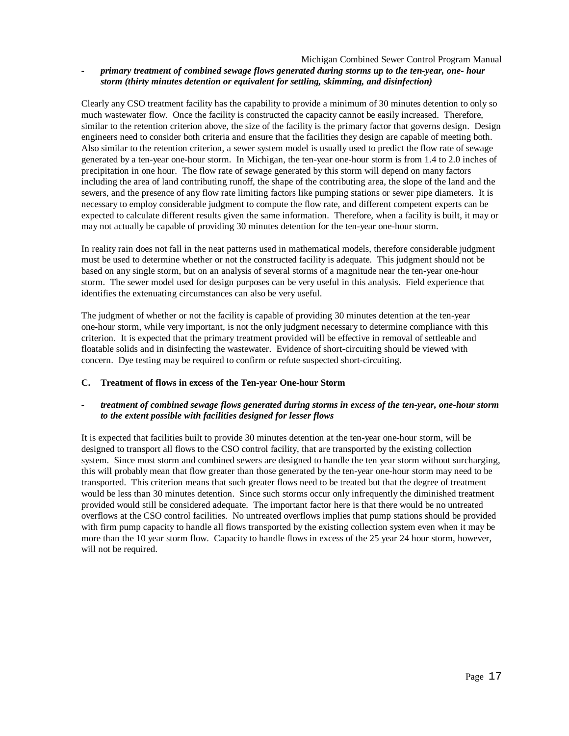#### Michigan Combined Sewer Control Program Manual *- primary treatment of combined sewage flows generated during storms up to the ten-year, one- hour storm (thirty minutes detention or equivalent for settling, skimming, and disinfection)*

Clearly any CSO treatment facility has the capability to provide a minimum of 30 minutes detention to only so much wastewater flow. Once the facility is constructed the capacity cannot be easily increased. Therefore, similar to the retention criterion above, the size of the facility is the primary factor that governs design. Design engineers need to consider both criteria and ensure that the facilities they design are capable of meeting both. Also similar to the retention criterion, a sewer system model is usually used to predict the flow rate of sewage generated by a ten-year one-hour storm. In Michigan, the ten-year one-hour storm is from 1.4 to 2.0 inches of precipitation in one hour. The flow rate of sewage generated by this storm will depend on many factors including the area of land contributing runoff, the shape of the contributing area, the slope of the land and the sewers, and the presence of any flow rate limiting factors like pumping stations or sewer pipe diameters. It is necessary to employ considerable judgment to compute the flow rate, and different competent experts can be expected to calculate different results given the same information. Therefore, when a facility is built, it may or may not actually be capable of providing 30 minutes detention for the ten-year one-hour storm.

In reality rain does not fall in the neat patterns used in mathematical models, therefore considerable judgment must be used to determine whether or not the constructed facility is adequate. This judgment should not be based on any single storm, but on an analysis of several storms of a magnitude near the ten-year one-hour storm. The sewer model used for design purposes can be very useful in this analysis. Field experience that identifies the extenuating circumstances can also be very useful.

The judgment of whether or not the facility is capable of providing 30 minutes detention at the ten-year one-hour storm, while very important, is not the only judgment necessary to determine compliance with this criterion. It is expected that the primary treatment provided will be effective in removal of settleable and floatable solids and in disinfecting the wastewater. Evidence of short-circuiting should be viewed with concern. Dye testing may be required to confirm or refute suspected short-circuiting.

#### **C. Treatment of flows in excess of the Ten-year One-hour Storm**

## *- treatment of combined sewage flows generated during storms in excess of the ten-year, one-hour storm to the extent possible with facilities designed for lesser flows*

It is expected that facilities built to provide 30 minutes detention at the ten-year one-hour storm, will be designed to transport all flows to the CSO control facility, that are transported by the existing collection system. Since most storm and combined sewers are designed to handle the ten year storm without surcharging, this will probably mean that flow greater than those generated by the ten-year one-hour storm may need to be transported. This criterion means that such greater flows need to be treated but that the degree of treatment would be less than 30 minutes detention. Since such storms occur only infrequently the diminished treatment provided would still be considered adequate. The important factor here is that there would be no untreated overflows at the CSO control facilities. No untreated overflows implies that pump stations should be provided with firm pump capacity to handle all flows transported by the existing collection system even when it may be more than the 10 year storm flow. Capacity to handle flows in excess of the 25 year 24 hour storm, however, will not be required.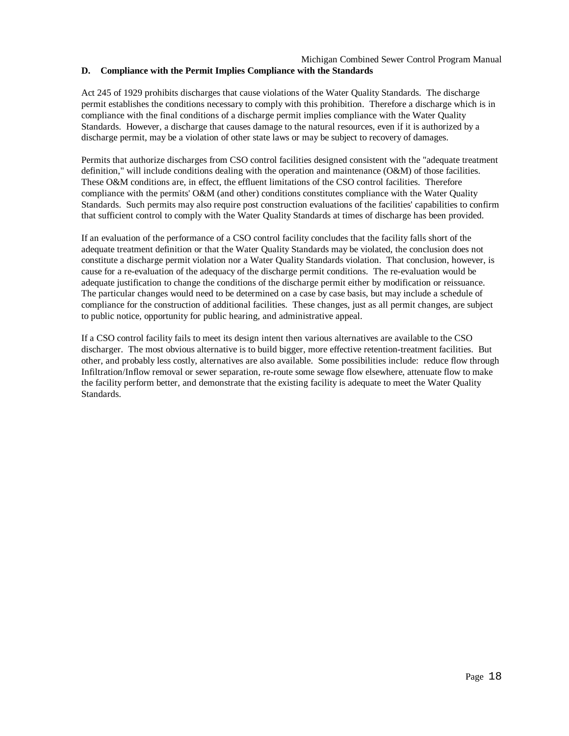#### Michigan Combined Sewer Control Program Manual **D. Compliance with the Permit Implies Compliance with the Standards**

Act 245 of 1929 prohibits discharges that cause violations of the Water Quality Standards. The discharge permit establishes the conditions necessary to comply with this prohibition. Therefore a discharge which is in compliance with the final conditions of a discharge permit implies compliance with the Water Quality Standards. However, a discharge that causes damage to the natural resources, even if it is authorized by a discharge permit, may be a violation of other state laws or may be subject to recovery of damages.

Permits that authorize discharges from CSO control facilities designed consistent with the "adequate treatment definition," will include conditions dealing with the operation and maintenance (O&M) of those facilities. These O&M conditions are, in effect, the effluent limitations of the CSO control facilities. Therefore compliance with the permits' O&M (and other) conditions constitutes compliance with the Water Quality Standards. Such permits may also require post construction evaluations of the facilities' capabilities to confirm that sufficient control to comply with the Water Quality Standards at times of discharge has been provided.

If an evaluation of the performance of a CSO control facility concludes that the facility falls short of the adequate treatment definition or that the Water Quality Standards may be violated, the conclusion does not constitute a discharge permit violation nor a Water Quality Standards violation. That conclusion, however, is cause for a re-evaluation of the adequacy of the discharge permit conditions. The re-evaluation would be adequate justification to change the conditions of the discharge permit either by modification or reissuance. The particular changes would need to be determined on a case by case basis, but may include a schedule of compliance for the construction of additional facilities. These changes, just as all permit changes, are subject to public notice, opportunity for public hearing, and administrative appeal.

If a CSO control facility fails to meet its design intent then various alternatives are available to the CSO discharger. The most obvious alternative is to build bigger, more effective retention-treatment facilities. But other, and probably less costly, alternatives are also available. Some possibilities include: reduce flow through Infiltration/Inflow removal or sewer separation, re-route some sewage flow elsewhere, attenuate flow to make the facility perform better, and demonstrate that the existing facility is adequate to meet the Water Quality Standards.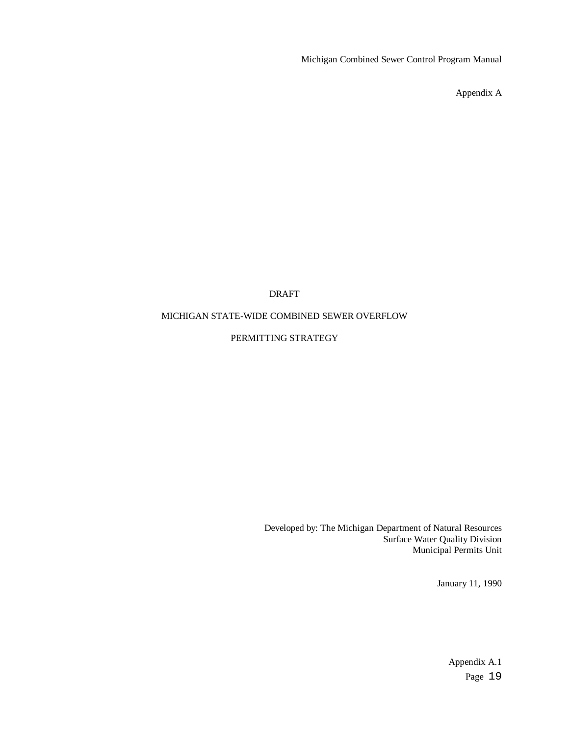Michigan Combined Sewer Control Program Manual

Appendix A

## DRAFT

## MICHIGAN STATE-WIDE COMBINED SEWER OVERFLOW

## PERMITTING STRATEGY

Developed by: The Michigan Department of Natural Resources Surface Water Quality Division Municipal Permits Unit

January 11, 1990

Page 19 Appendix A.1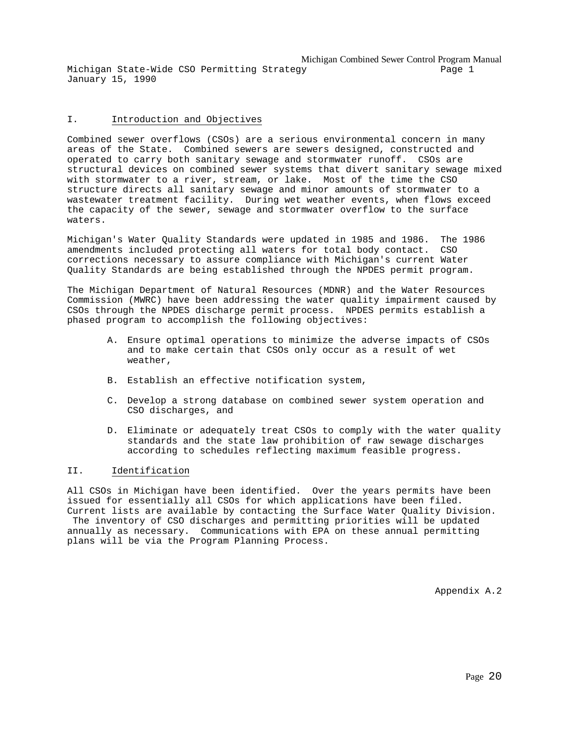Michigan Combined Sewer Control Program Manual Michigan State-Wide CSO Permitting Strategy Page 1 January 15, 1990

#### I. Introduction and Objectives

Combined sewer overflows (CSOs) are a serious environmental concern in many areas of the State. Combined sewers are sewers designed, constructed and operated to carry both sanitary sewage and stormwater runoff. CSOs are structural devices on combined sewer systems that divert sanitary sewage mixed with stormwater to a river, stream, or lake. Most of the time the CSO structure directs all sanitary sewage and minor amounts of stormwater to a wastewater treatment facility. During wet weather events, when flows exceed the capacity of the sewer, sewage and stormwater overflow to the surface waters.

Michigan's Water Quality Standards were updated in 1985 and 1986. The 1986 amendments included protecting all waters for total body contact. CSO corrections necessary to assure compliance with Michigan's current Water Quality Standards are being established through the NPDES permit program.

The Michigan Department of Natural Resources (MDNR) and the Water Resources Commission (MWRC) have been addressing the water quality impairment caused by CSOs through the NPDES discharge permit process. NPDES permits establish a phased program to accomplish the following objectives:

- A. Ensure optimal operations to minimize the adverse impacts of CSOs and to make certain that CSOs only occur as a result of wet weather,
- B. Establish an effective notification system,

plans will be via the Program Planning Process.

- C. Develop a strong database on combined sewer system operation and CSO discharges, and
- D. Eliminate or adequately treat CSOs to comply with the water quality standards and the state law prohibition of raw sewage discharges according to schedules reflecting maximum feasible progress.

#### II. Identification

All CSOs in Michigan have been identified. Over the years permits have been issued for essentially all CSOs for which applications have been filed. Current lists are available by contacting the Surface Water Quality Division. The inventory of CSO discharges and permitting priorities will be updated annually as necessary. Communications with EPA on these annual permitting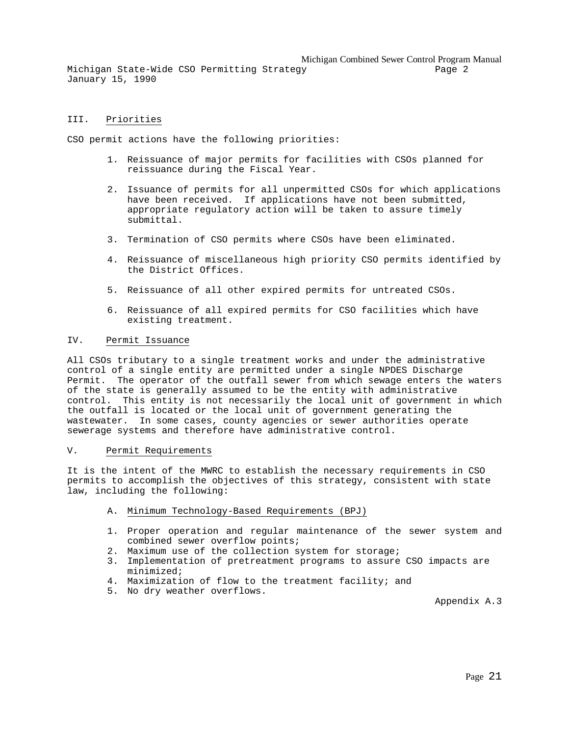Michigan Combined Sewer Control Program Manual

Michigan State-Wide CSO Permitting Strategy entitled and the Page 2 January 15, 1990

#### III. Priorities

CSO permit actions have the following priorities:

- 1. Reissuance of major permits for facilities with CSOs planned for reissuance during the Fiscal Year.
- 2. Issuance of permits for all unpermitted CSOs for which applications have been received. If applications have not been submitted, appropriate regulatory action will be taken to assure timely submittal.
- 3. Termination of CSO permits where CSOs have been eliminated.
- 4. Reissuance of miscellaneous high priority CSO permits identified by the District Offices.
- 5. Reissuance of all other expired permits for untreated CSOs.
- 6. Reissuance of all expired permits for CSO facilities which have existing treatment.

#### IV. Permit Issuance

All CSOs tributary to a single treatment works and under the administrative control of a single entity are permitted under a single NPDES Discharge Permit. The operator of the outfall sewer from which sewage enters the waters of the state is generally assumed to be the entity with administrative control. This entity is not necessarily the local unit of government in which the outfall is located or the local unit of government generating the wastewater. In some cases, county agencies or sewer authorities operate sewerage systems and therefore have administrative control.

#### V. Permit Requirements

It is the intent of the MWRC to establish the necessary requirements in CSO permits to accomplish the objectives of this strategy, consistent with state law, including the following:

- A. Minimum Technology-Based Requirements (BPJ)
- 1. Proper operation and regular maintenance of the sewer system and combined sewer overflow points;
- 2. Maximum use of the collection system for storage;
- 3. Implementation of pretreatment programs to assure CSO impacts are minimized;
- 4. Maximization of flow to the treatment facility; and
- 5. No dry weather overflows.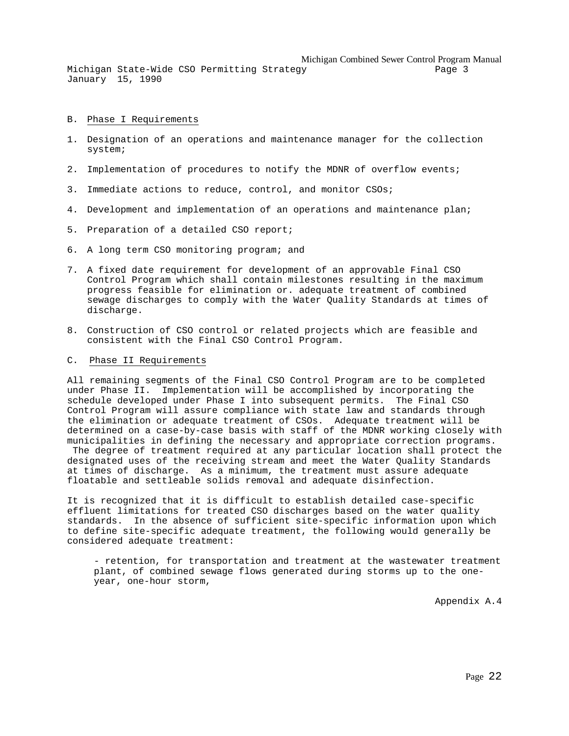Michigan Combined Sewer Control Program Manual

Michigan State-Wide CSO Permitting Strategy entitled and the Page 3 January 15, 1990

#### B. Phase I Requirements

- 1. Designation of an operations and maintenance manager for the collection system;
- 2. Implementation of procedures to notify the MDNR of overflow events;
- 3. Immediate actions to reduce, control, and monitor CSOs;
- 4. Development and implementation of an operations and maintenance plan;
- 5. Preparation of a detailed CSO report;
- 6. A long term CSO monitoring program; and
- 7. A fixed date requirement for development of an approvable Final CSO Control Program which shall contain milestones resulting in the maximum progress feasible for elimination or. adequate treatment of combined sewage discharges to comply with the Water Quality Standards at times of discharge.
- 8. Construction of CSO control or related projects which are feasible and consistent with the Final CSO Control Program.

#### C. Phase II Requirements

All remaining segments of the Final CSO Control Program are to be completed under Phase II. Implementation will be accomplished by incorporating the schedule developed under Phase I into subsequent permits. The Final CSO Control Program will assure compliance with state law and standards through the elimination or adequate treatment of CSOs. Adequate treatment will be determined on a case-by-case basis with staff of the MDNR working closely with municipalities in defining the necessary and appropriate correction programs. The degree of treatment required at any particular location shall protect the designated uses of the receiving stream and meet the Water Quality Standards at times of discharge. As a minimum, the treatment must assure adequate

It is recognized that it is difficult to establish detailed case-specific effluent limitations for treated CSO discharges based on the water quality standards. In the absence of sufficient site-specific information upon which to define site-specific adequate treatment, the following would generally be considered adequate treatment:

floatable and settleable solids removal and adequate disinfection.

- retention, for transportation and treatment at the wastewater treatment plant, of combined sewage flows generated during storms up to the oneyear, one-hour storm,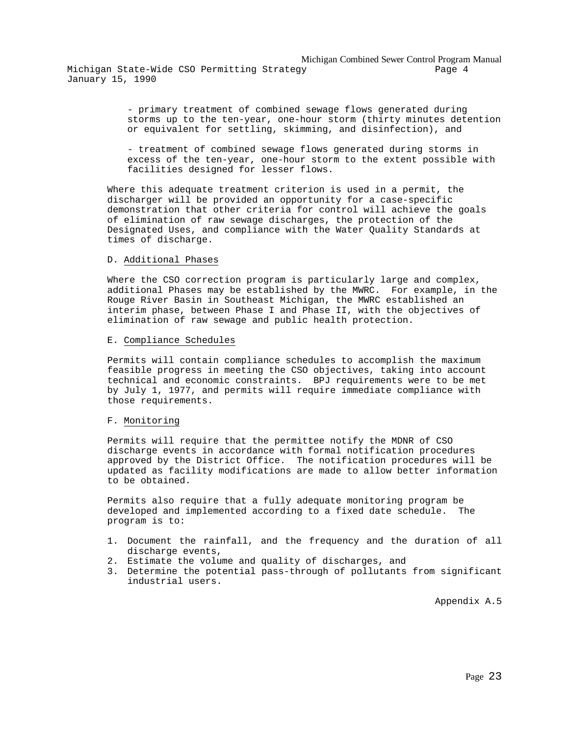- primary treatment of combined sewage flows generated during storms up to the ten-year, one-hour storm (thirty minutes detention or equivalent for settling, skimming, and disinfection), and

- treatment of combined sewage flows generated during storms in excess of the ten-year, one-hour storm to the extent possible with facilities designed for lesser flows.

Where this adequate treatment criterion is used in a permit, the discharger will be provided an opportunity for a case-specific demonstration that other criteria for control will achieve the goals of elimination of raw sewage discharges, the protection of the Designated Uses, and compliance with the Water Quality Standards at times of discharge.

#### D. Additional Phases

Where the CSO correction program is particularly large and complex, additional Phases may be established by the MWRC. For example, in the Rouge River Basin in Southeast Michigan, the MWRC established an interim phase, between Phase I and Phase II, with the objectives of elimination of raw sewage and public health protection.

#### E. Compliance Schedules

Permits will contain compliance schedules to accomplish the maximum feasible progress in meeting the CSO objectives, taking into account technical and economic constraints. BPJ requirements were to be met by July 1, 1977, and permits will require immediate compliance with those requirements.

#### F. Monitoring

Permits will require that the permittee notify the MDNR of CSO discharge events in accordance with formal notification procedures approved by the District Office. The notification procedures will be updated as facility modifications are made to allow better information to be obtained.

Permits also require that a fully adequate monitoring program be developed and implemented according to a fixed date schedule. The program is to:

- 1. Document the rainfall, and the frequency and the duration of all discharge events,
- 2. Estimate the volume and quality of discharges, and
- 3. Determine the potential pass-through of pollutants from significant industrial users.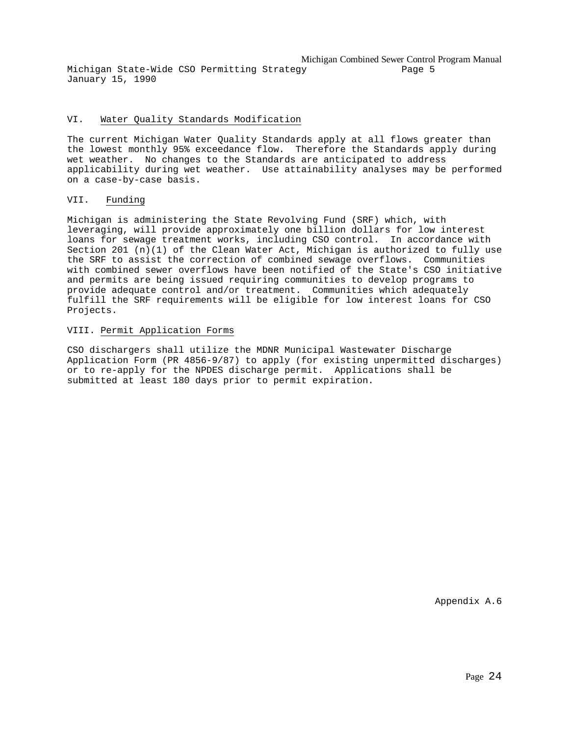Michigan Combined Sewer Control Program Manual Michigan State-Wide CSO Permitting Strategy Page 5 January 15, 1990

#### VI. Water Quality Standards Modification

The current Michigan Water Quality Standards apply at all flows greater than the lowest monthly 95% exceedance flow. Therefore the Standards apply during wet weather. No changes to the Standards are anticipated to address applicability during wet weather. Use attainability analyses may be performed on a case-by-case basis.

#### VII. Funding

Michigan is administering the State Revolving Fund (SRF) which, with leveraging, will provide approximately one billion dollars for low interest loans for sewage treatment works, including CSO control. In accordance with Section 201 (n)(1) of the Clean Water Act, Michigan is authorized to fully use the SRF to assist the correction of combined sewage overflows. Communities with combined sewer overflows have been notified of the State's CSO initiative and permits are being issued requiring communities to develop programs to provide adequate control and/or treatment. Communities which adequately fulfill the SRF requirements will be eligible for low interest loans for CSO Projects.

#### VIII. Permit Application Forms

CSO dischargers shall utilize the MDNR Municipal Wastewater Discharge Application Form (PR 4856-9/87) to apply (for existing unpermitted discharges) or to re-apply for the NPDES discharge permit. Applications shall be submitted at least 180 days prior to permit expiration.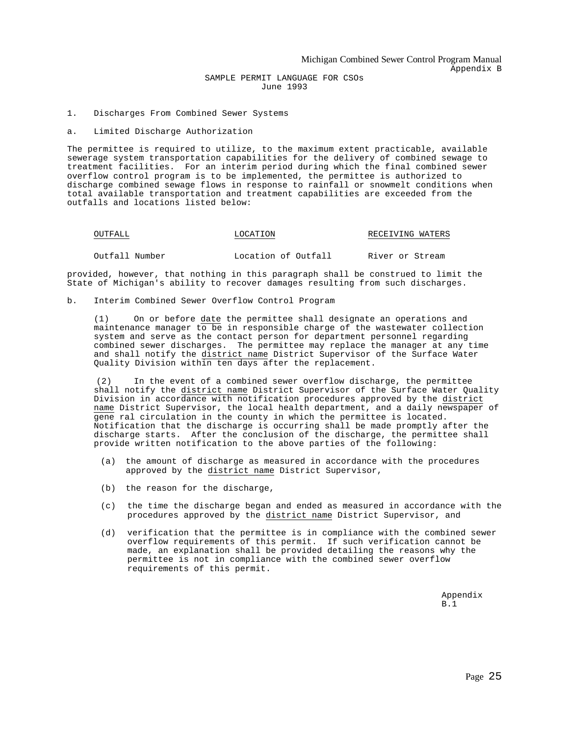1. Discharges From Combined Sewer Systems

#### a. Limited Discharge Authorization

The permittee is required to utilize, to the maximum extent practicable, available sewerage system transportation capabilities for the delivery of combined sewage to treatment facilities. For an interim period during which the final combined sewer overflow control program is to be implemented, the permittee is authorized to discharge combined sewage flows in response to rainfall or snowmelt conditions when total available transportation and treatment capabilities are exceeded from the outfalls and locations listed below:

| OUTFALL |  |
|---------|--|
|---------|--|

#### LOCATION RECEIVING WATERS

Outfall Number Location of Outfall River or Stream

provided, however, that nothing in this paragraph shall be construed to limit the State of Michigan's ability to recover damages resulting from such discharges.

b. Interim Combined Sewer Overflow Control Program

(1) On or before date the permittee shall designate an operations and maintenance manager to be in responsible charge of the wastewater collection system and serve as the contact person for department personnel regarding combined sewer discharges. The permittee may replace the manager at any time and shall notify the district name District Supervisor of the Surface Water Quality Division within ten days after the replacement.

(2) In the event of a combined sewer overflow discharge, the permittee shall notify the district name District Supervisor of the Surface Water Quality Division in accordance with notification procedures approved by the district name District Supervisor, the local health department, and a daily newspaper of gene ral circulation in the county in which the permittee is located. Notification that the discharge is occurring shall be made promptly after the discharge starts. After the conclusion of the discharge, the permittee shall provide written notification to the above parties of the following:

- (a) the amount of discharge as measured in accordance with the procedures approved by the district name District Supervisor,
- (b) the reason for the discharge,
- (c) the time the discharge began and ended as measured in accordance with the procedures approved by the district name District Supervisor, and
- (d) verification that the permittee is in compliance with the combined sewer overflow requirements of this permit. If such verification cannot be made, an explanation shall be provided detailing the reasons why the permittee is not in compliance with the combined sewer overflow requirements of this permit.

Appendix B.1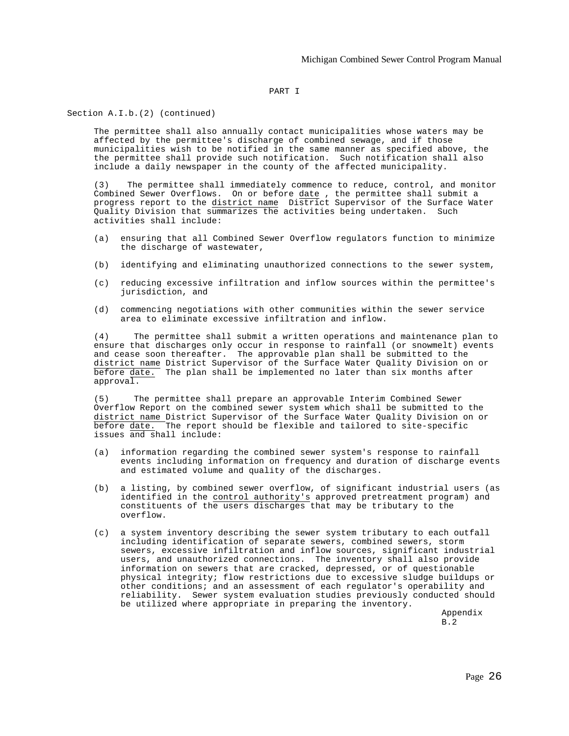#### PART I

Section A.I.b.(2) (continued)

The permittee shall also annually contact municipalities whose waters may be affected by the permittee's discharge of combined sewage, and if those municipalities wish to be notified in the same manner as specified above, the the permittee shall provide such notification. Such notification shall also include a daily newspaper in the county of the affected municipality.

(3) The permittee shall immediately commence to reduce, control, and monitor Combined Sewer Overflows. On or before date , the permittee shall submit a progress report to the district name District Supervisor of the Surface Water Quality Division that summarizes the activities being undertaken. Such activities shall include:

- (a) ensuring that all Combined Sewer Overflow regulators function to minimize the discharge of wastewater,
- (b) identifying and eliminating unauthorized connections to the sewer system,
- (c) reducing excessive infiltration and inflow sources within the permittee's jurisdiction, and
- (d) commencing negotiations with other communities within the sewer service area to eliminate excessive infiltration and inflow.

(4) The permittee shall submit a written operations and maintenance plan to ensure that discharges only occur in response to rainfall (or snowmelt) events and cease soon thereafter. The approvable plan shall be submitted to the district name District Supervisor of the Surface Water Quality Division on or before date. The plan shall be implemented no later than six months after approval.

(5) The permittee shall prepare an approvable Interim Combined Sewer Overflow Report on the combined sewer system which shall be submitted to the district name District Supervisor of the Surface Water Quality Division on or before date. The report should be flexible and tailored to site-specific issues and shall include:

- (a) information regarding the combined sewer system's response to rainfall events including information on frequency and duration of discharge events and estimated volume and quality of the discharges.
- (b) a listing, by combined sewer overflow, of significant industrial users (as identified in the control authority's approved pretreatment program) and constituents of the users discharges that may be tributary to the overflow.
- (c) a system inventory describing the sewer system tributary to each outfall including identification of separate sewers, combined sewers, storm sewers, excessive infiltration and inflow sources, significant industrial users, and unauthorized connections. The inventory shall also provide information on sewers that are cracked, depressed, or of questionable physical integrity; flow restrictions due to excessive sludge buildups or other conditions; and an assessment of each regulator's operability and reliability. Sewer system evaluation studies previously conducted should be utilized where appropriate in preparing the inventory.

Appendix B.2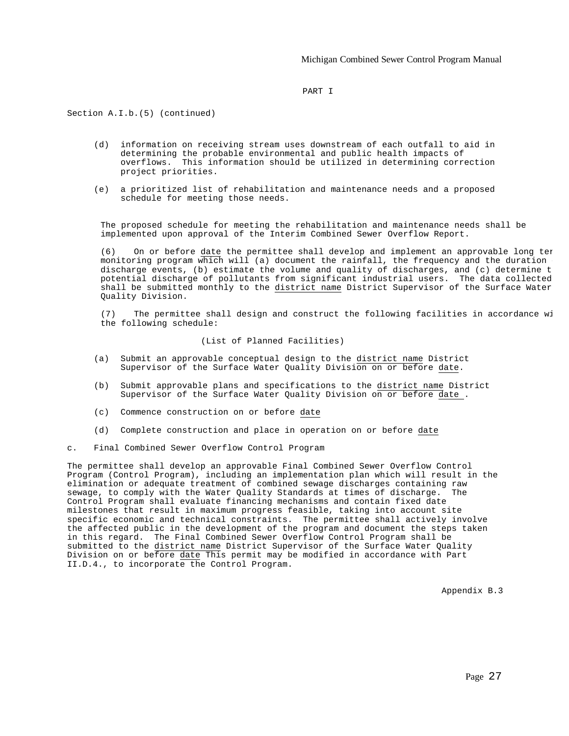#### PART I

Section A.I.b.(5) (continued)

- (d) information on receiving stream uses downstream of each outfall to aid in determining the probable environmental and public health impacts of overflows. This information should be utilized in determining correction project priorities.
- (e) a prioritized list of rehabilitation and maintenance needs and a proposed schedule for meeting those needs.

The proposed schedule for meeting the rehabilitation and maintenance needs shall be implemented upon approval of the Interim Combined Sewer Overflow Report.

(6) On or before date the permittee shall develop and implement an approvable long term monitoring program which will (a) document the rainfall, the frequency and the duration discharge events, (b) estimate the volume and quality of discharges, and (c) determine  $t$ . potential discharge of pollutants from significant industrial users. The data collected shall be submitted monthly to the district name District Supervisor of the Surface Water Quality Division.

(7) The permittee shall design and construct the following facilities in accordance wi the following schedule:

#### (List of Planned Facilities)

- (a) Submit an approvable conceptual design to the district name District Supervisor of the Surface Water Quality Division on or before date.
- (b) Submit approvable plans and specifications to the district name District Supervisor of the Surface Water Quality Division on or before date .
- (c) Commence construction on or before date
- (d) Complete construction and place in operation on or before date
- c. Final Combined Sewer Overflow Control Program

The permittee shall develop an approvable Final Combined Sewer Overflow Control Program (Control Program), including an implementation plan which will result in the elimination or adequate treatment of combined sewage discharges containing raw sewage, to comply with the Water Quality Standards at times of discharge. The Control Program shall evaluate financing mechanisms and contain fixed date milestones that result in maximum progress feasible, taking into account site specific economic and technical constraints. The permittee shall actively involve the affected public in the development of the program and document the steps taken in this regard. The Final Combined Sewer Overflow Control Program shall be submitted to the district name District Supervisor of the Surface Water Quality Division on or before date This permit may be modified in accordance with Part II.D.4., to incorporate the Control Program.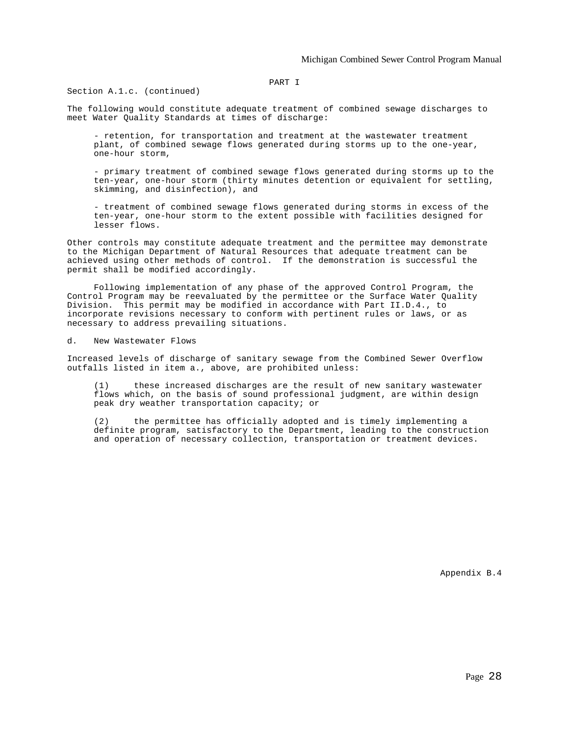#### PART I

Section A.1.c. (continued)

The following would constitute adequate treatment of combined sewage discharges to meet Water Quality Standards at times of discharge:

- retention, for transportation and treatment at the wastewater treatment plant, of combined sewage flows generated during storms up to the one-year, one-hour storm,

- primary treatment of combined sewage flows generated during storms up to the ten-year, one-hour storm (thirty minutes detention or equivalent for settling, skimming, and disinfection), and

- treatment of combined sewage flows generated during storms in excess of the ten-year, one-hour storm to the extent possible with facilities designed for lesser flows.

Other controls may constitute adequate treatment and the permittee may demonstrate to the Michigan Department of Natural Resources that adequate treatment can be achieved using other methods of control. If the demonstration is successful the permit shall be modified accordingly.

Following implementation of any phase of the approved Control Program, the Control Program may be reevaluated by the permittee or the Surface Water Quality Division. This permit may be modified in accordance with Part II.D.4., to incorporate revisions necessary to conform with pertinent rules or laws, or as necessary to address prevailing situations.

d. New Wastewater Flows

Increased levels of discharge of sanitary sewage from the Combined Sewer Overflow outfalls listed in item a., above, are prohibited unless:

(1) these increased discharges are the result of new sanitary wastewater flows which, on the basis of sound professional judgment, are within design peak dry weather transportation capacity; or

(2) the permittee has officially adopted and is timely implementing a definite program, satisfactory to the Department, leading to the construction and operation of necessary collection, transportation or treatment devices.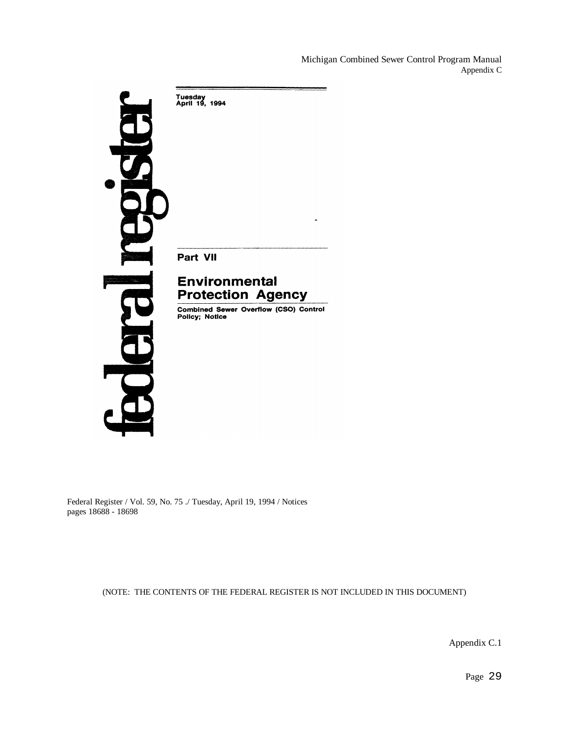Michigan Combined Sewer Control Program Manual Appendix C



Federal Register / Vol. 59, No. 75 ./ Tuesday, April 19, 1994 / Notices pages 18688 - 18698

(NOTE: THE CONTENTS OF THE FEDERAL REGISTER IS NOT INCLUDED IN THIS DOCUMENT)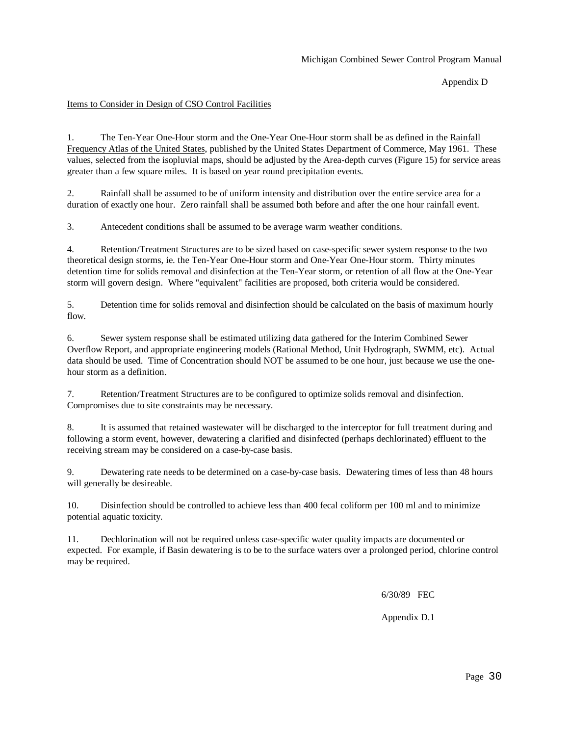Appendix D

#### Items to Consider in Design of CSO Control Facilities

1. The Ten-Year One-Hour storm and the One-Year One-Hour storm shall be as defined in the Rainfall Frequency Atlas of the United States, published by the United States Department of Commerce, May 1961. These values, selected from the isopluvial maps, should be adjusted by the Area-depth curves (Figure 15) for service areas greater than a few square miles. It is based on year round precipitation events.

2. Rainfall shall be assumed to be of uniform intensity and distribution over the entire service area for a duration of exactly one hour. Zero rainfall shall be assumed both before and after the one hour rainfall event.

3. Antecedent conditions shall be assumed to be average warm weather conditions.

4. Retention/Treatment Structures are to be sized based on case-specific sewer system response to the two theoretical design storms, ie. the Ten-Year One-Hour storm and One-Year One-Hour storm. Thirty minutes detention time for solids removal and disinfection at the Ten-Year storm, or retention of all flow at the One-Year storm will govern design. Where "equivalent" facilities are proposed, both criteria would be considered.

5. Detention time for solids removal and disinfection should be calculated on the basis of maximum hourly flow.

6. Sewer system response shall be estimated utilizing data gathered for the Interim Combined Sewer Overflow Report, and appropriate engineering models (Rational Method, Unit Hydrograph, SWMM, etc). Actual data should be used. Time of Concentration should NOT be assumed to be one hour, just because we use the onehour storm as a definition.

7. Retention/Treatment Structures are to be configured to optimize solids removal and disinfection. Compromises due to site constraints may be necessary.

8. It is assumed that retained wastewater will be discharged to the interceptor for full treatment during and following a storm event, however, dewatering a clarified and disinfected (perhaps dechlorinated) effluent to the receiving stream may be considered on a case-by-case basis.

9. Dewatering rate needs to be determined on a case-by-case basis. Dewatering times of less than 48 hours will generally be desireable.

10. Disinfection should be controlled to achieve less than 400 fecal coliform per 100 ml and to minimize potential aquatic toxicity.

11. Dechlorination will not be required unless case-specific water quality impacts are documented or expected. For example, if Basin dewatering is to be to the surface waters over a prolonged period, chlorine control may be required.

6/30/89 FEC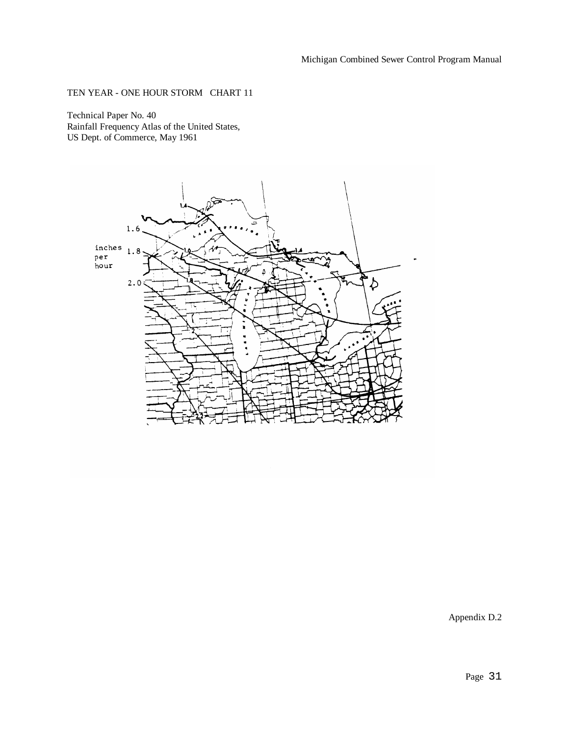## TEN YEAR - ONE HOUR STORM CHART 11

Technical Paper No. 40 Rainfall Frequency Atlas of the United States, US Dept. of Commerce, May 1961

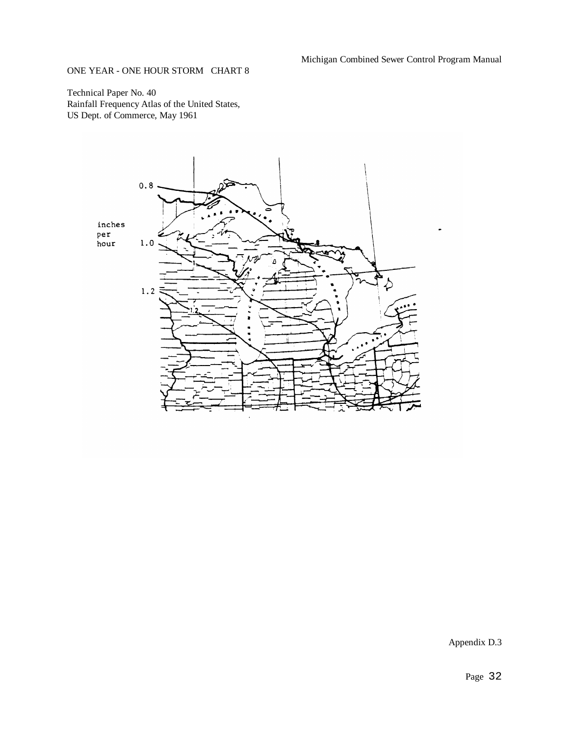Michigan Combined Sewer Control Program Manual

## ONE YEAR - ONE HOUR STORM CHART 8

Technical Paper No. 40 Rainfall Frequency Atlas of the United States, US Dept. of Commerce, May 1961